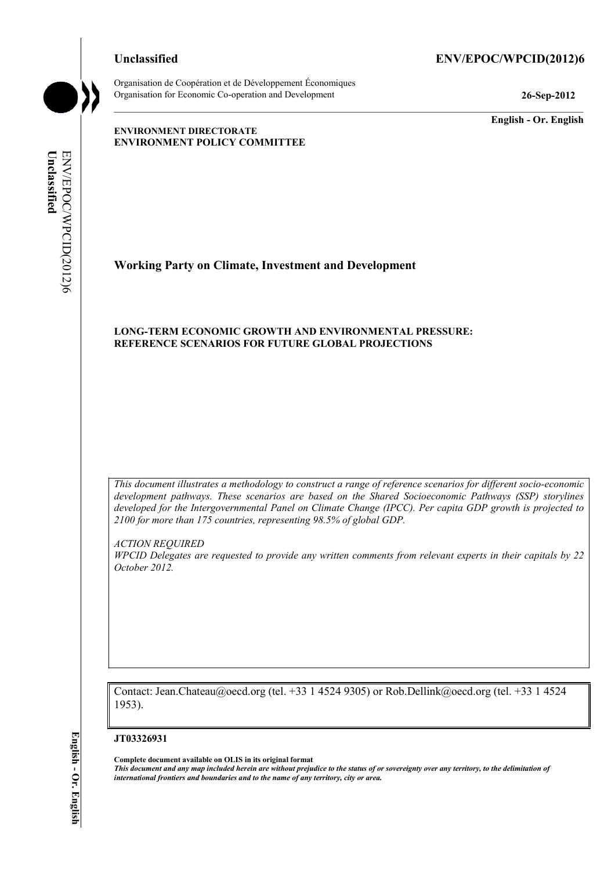## **Unclassified ENV/EPOC/WPCID(2012)6**

Organisation de Coopération et de Développement Économiques Organisation for Economic Co-operation and Development **26-Sep-2012** 

**English - Or. English** 

#### **ENVIRONMENT DIRECTORATE ENVIRONMENT POLICY COMMITTEE**

Unclassified ENV/EPOC/WPCID(2012)6 **Unclassified**  ENV/EPOC/WPCID(2012)6

# **Working Party on Climate, Investment and Development**

## **LONG-TERM ECONOMIC GROWTH AND ENVIRONMENTAL PRESSURE: REFERENCE SCENARIOS FOR FUTURE GLOBAL PROJECTIONS**

*This document illustrates a methodology to construct a range of reference scenarios for different socio-economic development pathways. These scenarios are based on the Shared Socioeconomic Pathways (SSP) storylines developed for the Intergovernmental Panel on Climate Change (IPCC). Per capita GDP growth is projected to 2100 for more than 175 countries, representing 98.5% of global GDP.* 

*ACTION REQUIRED* 

*WPCID Delegates are requested to provide any written comments from relevant experts in their capitals by 22 October 2012.* 

Contact: Jean.Chateau@oecd.org (tel. +33 1 4524 9305) or Rob.Dellink@oecd.org (tel. +33 1 4524 1953).

#### **JT03326931**

**Complete document available on OLIS in its original format**

*This document and any map included herein are without prejudice to the status of or sovereignty over any territory, to the delimitation of international frontiers and boundaries and to the name of any territory, city or area.*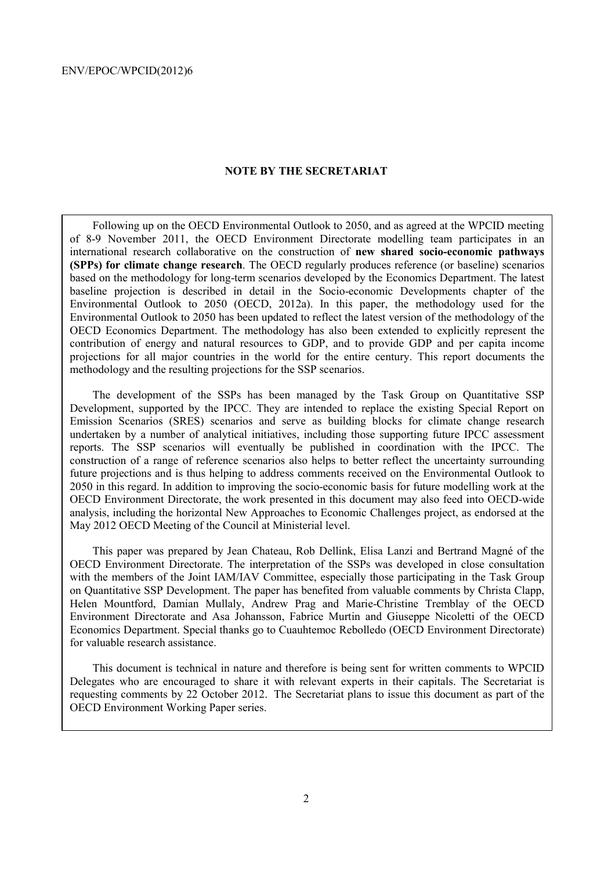#### **NOTE BY THE SECRETARIAT**

Following up on the OECD Environmental Outlook to 2050, and as agreed at the WPCID meeting of 8-9 November 2011, the OECD Environment Directorate modelling team participates in an international research collaborative on the construction of **new shared socio-economic pathways (SPPs) for climate change research**. The OECD regularly produces reference (or baseline) scenarios based on the methodology for long-term scenarios developed by the Economics Department. The latest baseline projection is described in detail in the Socio-economic Developments chapter of the Environmental Outlook to 2050 (OECD, 2012a). In this paper, the methodology used for the Environmental Outlook to 2050 has been updated to reflect the latest version of the methodology of the OECD Economics Department. The methodology has also been extended to explicitly represent the contribution of energy and natural resources to GDP, and to provide GDP and per capita income projections for all major countries in the world for the entire century. This report documents the methodology and the resulting projections for the SSP scenarios.

The development of the SSPs has been managed by the Task Group on Quantitative SSP Development, supported by the IPCC. They are intended to replace the existing Special Report on Emission Scenarios (SRES) scenarios and serve as building blocks for climate change research undertaken by a number of analytical initiatives, including those supporting future IPCC assessment reports. The SSP scenarios will eventually be published in coordination with the IPCC. The construction of a range of reference scenarios also helps to better reflect the uncertainty surrounding future projections and is thus helping to address comments received on the Environmental Outlook to 2050 in this regard. In addition to improving the socio-economic basis for future modelling work at the OECD Environment Directorate, the work presented in this document may also feed into OECD-wide analysis, including the horizontal New Approaches to Economic Challenges project, as endorsed at the May 2012 OECD Meeting of the Council at Ministerial level.

This paper was prepared by Jean Chateau, Rob Dellink, Elisa Lanzi and Bertrand Magné of the OECD Environment Directorate. The interpretation of the SSPs was developed in close consultation with the members of the Joint IAM/IAV Committee, especially those participating in the Task Group on Quantitative SSP Development. The paper has benefited from valuable comments by Christa Clapp, Helen Mountford, Damian Mullaly, Andrew Prag and Marie-Christine Tremblay of the OECD Environment Directorate and Asa Johansson, Fabrice Murtin and Giuseppe Nicoletti of the OECD Economics Department. Special thanks go to Cuauhtemoc Rebolledo (OECD Environment Directorate) for valuable research assistance.

This document is technical in nature and therefore is being sent for written comments to WPCID Delegates who are encouraged to share it with relevant experts in their capitals. The Secretariat is requesting comments by 22 October 2012. The Secretariat plans to issue this document as part of the OECD Environment Working Paper series.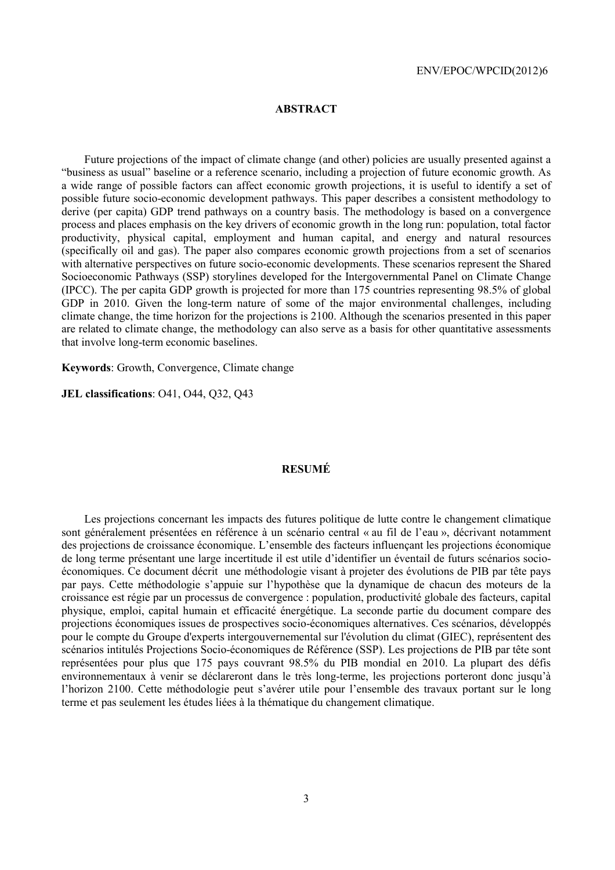### **ABSTRACT**

Future projections of the impact of climate change (and other) policies are usually presented against a "business as usual" baseline or a reference scenario, including a projection of future economic growth. As a wide range of possible factors can affect economic growth projections, it is useful to identify a set of possible future socio-economic development pathways. This paper describes a consistent methodology to derive (per capita) GDP trend pathways on a country basis. The methodology is based on a convergence process and places emphasis on the key drivers of economic growth in the long run: population, total factor productivity, physical capital, employment and human capital, and energy and natural resources (specifically oil and gas). The paper also compares economic growth projections from a set of scenarios with alternative perspectives on future socio-economic developments. These scenarios represent the Shared Socioeconomic Pathways (SSP) storylines developed for the Intergovernmental Panel on Climate Change (IPCC). The per capita GDP growth is projected for more than 175 countries representing 98.5% of global GDP in 2010. Given the long-term nature of some of the major environmental challenges, including climate change, the time horizon for the projections is 2100. Although the scenarios presented in this paper are related to climate change, the methodology can also serve as a basis for other quantitative assessments that involve long-term economic baselines.

**Keywords**: Growth, Convergence, Climate change

**JEL classifications**: O41, O44, Q32, Q43

## **RESUMÉ**

Les projections concernant les impacts des futures politique de lutte contre le changement climatique sont généralement présentées en référence à un scénario central « au fil de l'eau », décrivant notamment des projections de croissance économique. L'ensemble des facteurs influençant les projections économique de long terme présentant une large incertitude il est utile d'identifier un éventail de futurs scénarios socioéconomiques. Ce document décrit une méthodologie visant à projeter des évolutions de PIB par tête pays par pays. Cette méthodologie s'appuie sur l'hypothèse que la dynamique de chacun des moteurs de la croissance est régie par un processus de convergence : population, productivité globale des facteurs, capital physique, emploi, capital humain et efficacité énergétique. La seconde partie du document compare des projections économiques issues de prospectives socio-économiques alternatives. Ces scénarios, développés pour le compte du Groupe d'experts intergouvernemental sur l'évolution du climat (GIEC), représentent des scénarios intitulés Projections Socio-économiques de Référence (SSP). Les projections de PIB par tête sont représentées pour plus que 175 pays couvrant 98.5% du PIB mondial en 2010. La plupart des défis environnementaux à venir se déclareront dans le très long-terme, les projections porteront donc jusqu'à l'horizon 2100. Cette méthodologie peut s'avérer utile pour l'ensemble des travaux portant sur le long terme et pas seulement les études liées à la thématique du changement climatique.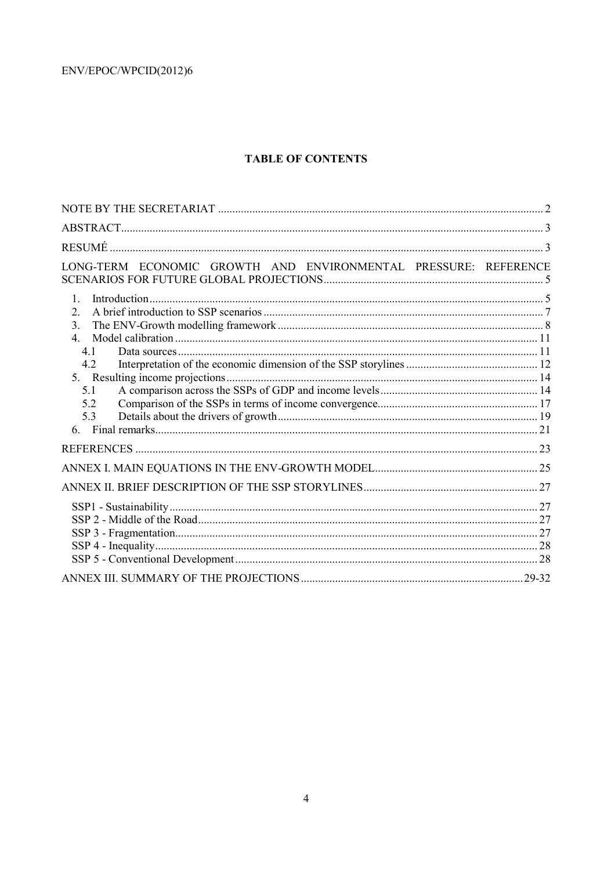# **TABLE OF CONTENTS**

| LONG-TERM ECONOMIC GROWTH AND ENVIRONMENTAL PRESSURE: REFERENCE                                          |  |
|----------------------------------------------------------------------------------------------------------|--|
| $\mathbf{1}$ .<br>$\overline{2}$ .<br>3 <sub>1</sub><br>$\overline{4}$<br>41<br>4.2<br>5.1<br>5.2<br>5.3 |  |
|                                                                                                          |  |
|                                                                                                          |  |
|                                                                                                          |  |
|                                                                                                          |  |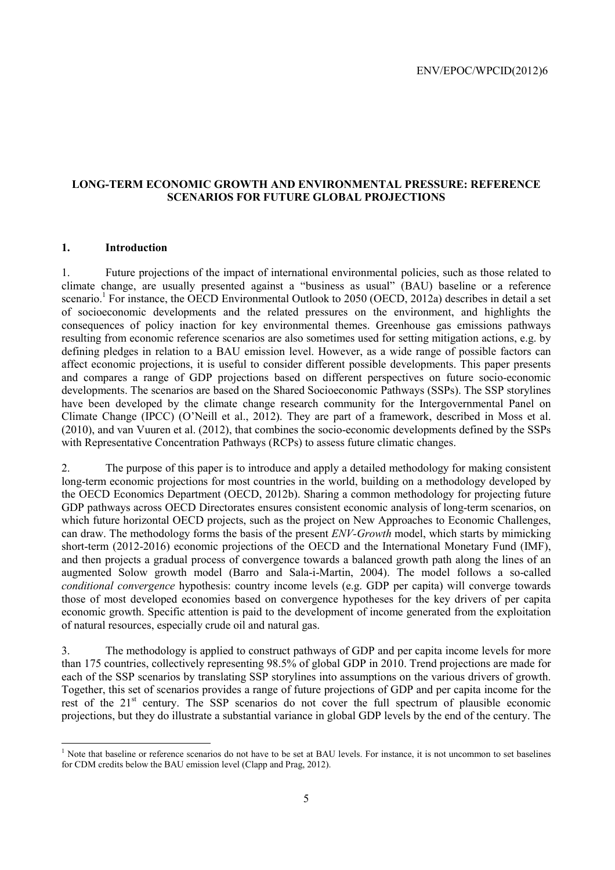## **LONG-TERM ECONOMIC GROWTH AND ENVIRONMENTAL PRESSURE: REFERENCE SCENARIOS FOR FUTURE GLOBAL PROJECTIONS**

## **1. Introduction**

1. Future projections of the impact of international environmental policies, such as those related to climate change, are usually presented against a "business as usual" (BAU) baseline or a reference scenario.<sup>1</sup> For instance, the OECD Environmental Outlook to 2050 (OECD, 2012a) describes in detail a set of socioeconomic developments and the related pressures on the environment, and highlights the consequences of policy inaction for key environmental themes. Greenhouse gas emissions pathways resulting from economic reference scenarios are also sometimes used for setting mitigation actions, e.g. by defining pledges in relation to a BAU emission level. However, as a wide range of possible factors can affect economic projections, it is useful to consider different possible developments. This paper presents and compares a range of GDP projections based on different perspectives on future socio-economic developments. The scenarios are based on the Shared Socioeconomic Pathways (SSPs). The SSP storylines have been developed by the climate change research community for the Intergovernmental Panel on Climate Change (IPCC) (O'Neill et al., 2012). They are part of a framework, described in Moss et al. (2010), and van Vuuren et al. (2012), that combines the socio-economic developments defined by the SSPs with Representative Concentration Pathways (RCPs) to assess future climatic changes.

2. The purpose of this paper is to introduce and apply a detailed methodology for making consistent long-term economic projections for most countries in the world, building on a methodology developed by the OECD Economics Department (OECD, 2012b). Sharing a common methodology for projecting future GDP pathways across OECD Directorates ensures consistent economic analysis of long-term scenarios, on which future horizontal OECD projects, such as the project on New Approaches to Economic Challenges, can draw. The methodology forms the basis of the present *ENV-Growth* model, which starts by mimicking short-term (2012-2016) economic projections of the OECD and the International Monetary Fund (IMF), and then projects a gradual process of convergence towards a balanced growth path along the lines of an augmented Solow growth model (Barro and Sala-i-Martin, 2004). The model follows a so-called *conditional convergence* hypothesis: country income levels (e.g. GDP per capita) will converge towards those of most developed economies based on convergence hypotheses for the key drivers of per capita economic growth. Specific attention is paid to the development of income generated from the exploitation of natural resources, especially crude oil and natural gas.

3. The methodology is applied to construct pathways of GDP and per capita income levels for more than 175 countries, collectively representing 98.5% of global GDP in 2010. Trend projections are made for each of the SSP scenarios by translating SSP storylines into assumptions on the various drivers of growth. Together, this set of scenarios provides a range of future projections of GDP and per capita income for the rest of the 21<sup>st</sup> century. The SSP scenarios do not cover the full spectrum of plausible economic projections, but they do illustrate a substantial variance in global GDP levels by the end of the century. The

<sup>&</sup>lt;sup>1</sup> Note that baseline or reference scenarios do not have to be set at BAU levels. For instance, it is not uncommon to set baselines for CDM credits below the BAU emission level (Clapp and Prag, 2012).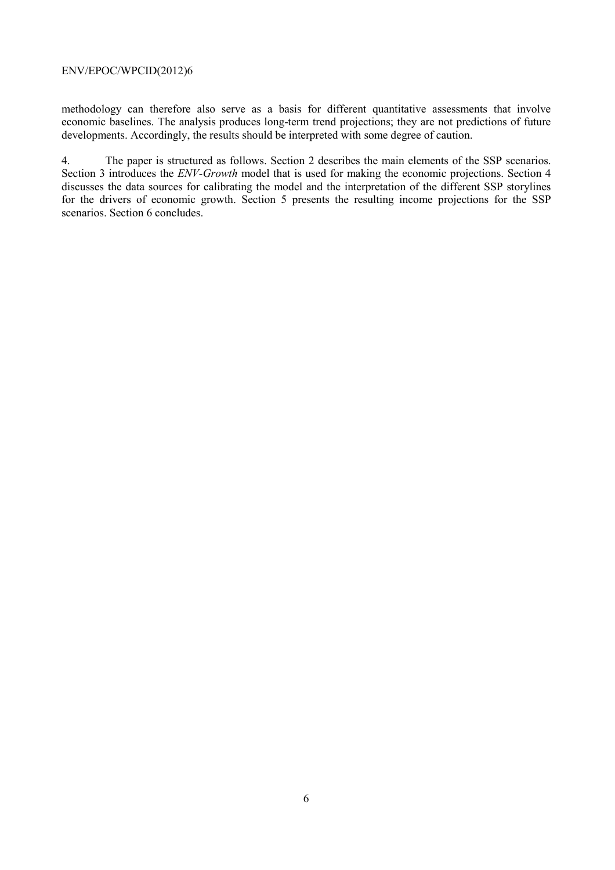methodology can therefore also serve as a basis for different quantitative assessments that involve economic baselines. The analysis produces long-term trend projections; they are not predictions of future developments. Accordingly, the results should be interpreted with some degree of caution.

4. The paper is structured as follows. Section 2 describes the main elements of the SSP scenarios. Section 3 introduces the *ENV-Growth* model that is used for making the economic projections. Section 4 discusses the data sources for calibrating the model and the interpretation of the different SSP storylines for the drivers of economic growth. Section 5 presents the resulting income projections for the SSP scenarios. Section 6 concludes.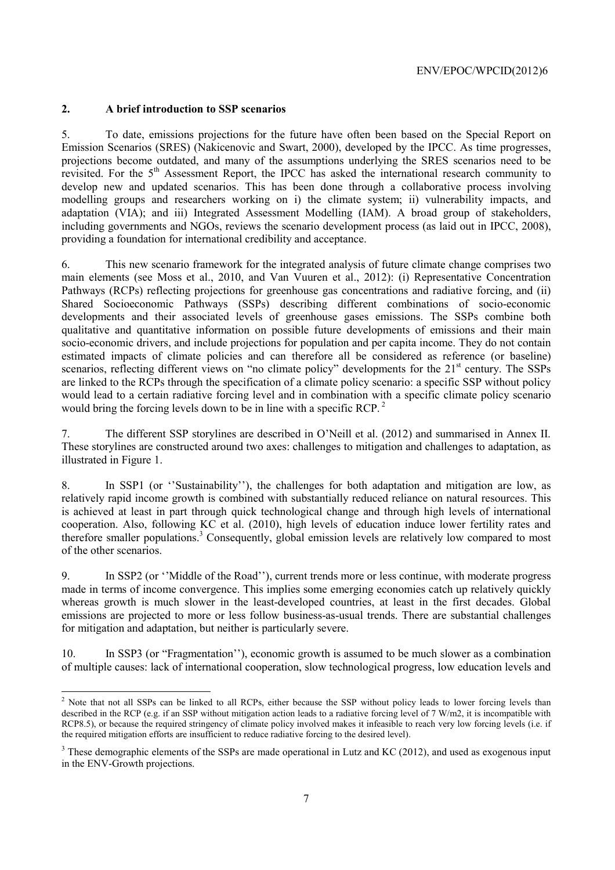## **2. A brief introduction to SSP scenarios**

5. To date, emissions projections for the future have often been based on the Special Report on Emission Scenarios (SRES) (Nakicenovic and Swart, 2000), developed by the IPCC. As time progresses, projections become outdated, and many of the assumptions underlying the SRES scenarios need to be revisited. For the 5<sup>th</sup> Assessment Report, the IPCC has asked the international research community to develop new and updated scenarios. This has been done through a collaborative process involving modelling groups and researchers working on i) the climate system; ii) vulnerability impacts, and adaptation (VIA); and iii) Integrated Assessment Modelling (IAM). A broad group of stakeholders, including governments and NGOs, reviews the scenario development process (as laid out in IPCC, 2008), providing a foundation for international credibility and acceptance.

6. This new scenario framework for the integrated analysis of future climate change comprises two main elements (see Moss et al., 2010, and Van Vuuren et al., 2012): (i) Representative Concentration Pathways (RCPs) reflecting projections for greenhouse gas concentrations and radiative forcing, and (ii) Shared Socioeconomic Pathways (SSPs) describing different combinations of socio-economic developments and their associated levels of greenhouse gases emissions. The SSPs combine both qualitative and quantitative information on possible future developments of emissions and their main socio-economic drivers, and include projections for population and per capita income. They do not contain estimated impacts of climate policies and can therefore all be considered as reference (or baseline) scenarios, reflecting different views on "no climate policy" developments for the 21<sup>st</sup> century. The SSPs are linked to the RCPs through the specification of a climate policy scenario: a specific SSP without policy would lead to a certain radiative forcing level and in combination with a specific climate policy scenario would bring the forcing levels down to be in line with a specific RCP.<sup>2</sup>

7. The different SSP storylines are described in O'Neill et al. (2012) and summarised in Annex II. These storylines are constructed around two axes: challenges to mitigation and challenges to adaptation, as illustrated in Figure 1.

8. In SSP1 (or ''Sustainability''), the challenges for both adaptation and mitigation are low, as relatively rapid income growth is combined with substantially reduced reliance on natural resources. This is achieved at least in part through quick technological change and through high levels of international cooperation. Also, following KC et al. (2010), high levels of education induce lower fertility rates and therefore smaller populations.<sup>3</sup> Consequently, global emission levels are relatively low compared to most of the other scenarios.

9. In SSP2 (or ''Middle of the Road''), current trends more or less continue, with moderate progress made in terms of income convergence. This implies some emerging economies catch up relatively quickly whereas growth is much slower in the least-developed countries, at least in the first decades. Global emissions are projected to more or less follow business-as-usual trends. There are substantial challenges for mitigation and adaptation, but neither is particularly severe.

10. In SSP3 (or "Fragmentation''), economic growth is assumed to be much slower as a combination of multiple causes: lack of international cooperation, slow technological progress, low education levels and

<sup>&</sup>lt;sup>2</sup> Note that not all SSPs can be linked to all RCPs, either because the SSP without policy leads to lower forcing levels than described in the RCP (e.g. if an SSP without mitigation action leads to a radiative forcing level of 7 W/m2, it is incompatible with RCP8.5), or because the required stringency of climate policy involved makes it infeasible to reach very low forcing levels (i.e. if the required mitigation efforts are insufficient to reduce radiative forcing to the desired level).

 $3$  These demographic elements of the SSPs are made operational in Lutz and KC (2012), and used as exogenous input in the ENV-Growth projections.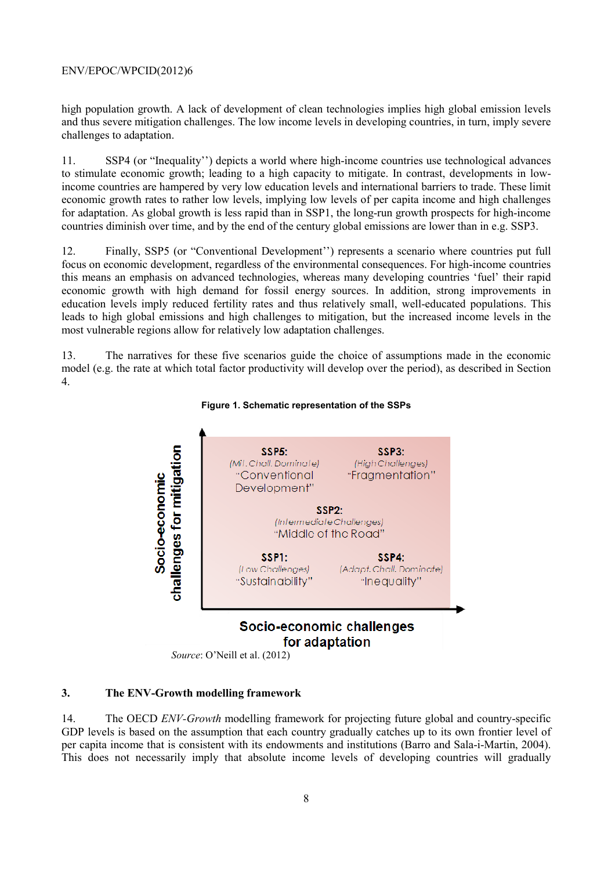high population growth. A lack of development of clean technologies implies high global emission levels and thus severe mitigation challenges. The low income levels in developing countries, in turn, imply severe challenges to adaptation.

11. SSP4 (or "Inequality'') depicts a world where high-income countries use technological advances to stimulate economic growth; leading to a high capacity to mitigate. In contrast, developments in lowincome countries are hampered by very low education levels and international barriers to trade. These limit economic growth rates to rather low levels, implying low levels of per capita income and high challenges for adaptation. As global growth is less rapid than in SSP1, the long-run growth prospects for high-income countries diminish over time, and by the end of the century global emissions are lower than in e.g. SSP3.

12. Finally, SSP5 (or "Conventional Development'') represents a scenario where countries put full focus on economic development, regardless of the environmental consequences. For high-income countries this means an emphasis on advanced technologies, whereas many developing countries 'fuel' their rapid economic growth with high demand for fossil energy sources. In addition, strong improvements in education levels imply reduced fertility rates and thus relatively small, well-educated populations. This leads to high global emissions and high challenges to mitigation, but the increased income levels in the most vulnerable regions allow for relatively low adaptation challenges.

13. The narratives for these five scenarios guide the choice of assumptions made in the economic model (e.g. the rate at which total factor productivity will develop over the period), as described in Section 4.



#### **Figure 1. Schematic representation of the SSPs**

*Source*: O'Neill et al. (2012)

## **3. The ENV-Growth modelling framework**

14. The OECD *ENV-Growth* modelling framework for projecting future global and country-specific GDP levels is based on the assumption that each country gradually catches up to its own frontier level of per capita income that is consistent with its endowments and institutions (Barro and Sala-i-Martin, 2004). This does not necessarily imply that absolute income levels of developing countries will gradually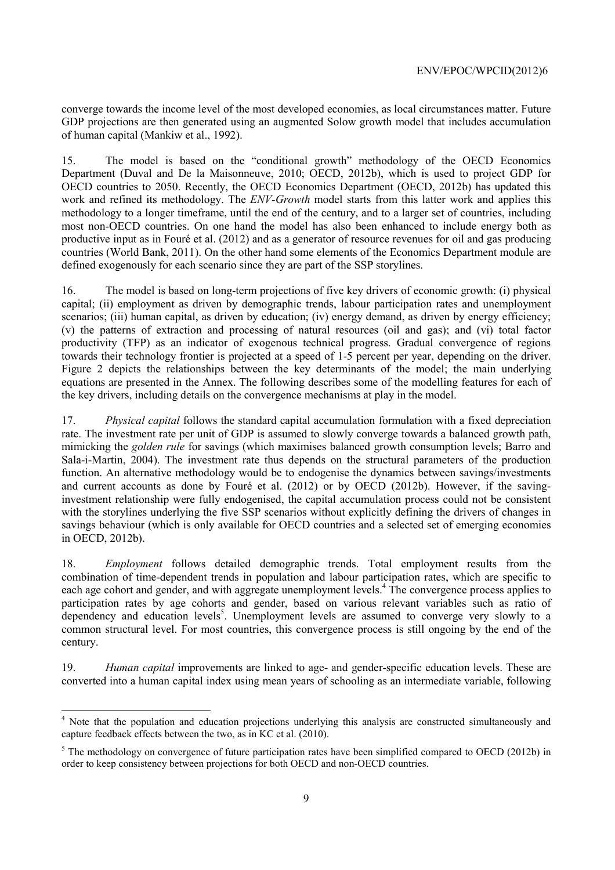converge towards the income level of the most developed economies, as local circumstances matter. Future GDP projections are then generated using an augmented Solow growth model that includes accumulation of human capital (Mankiw et al., 1992).

15. The model is based on the "conditional growth" methodology of the OECD Economics Department (Duval and De la Maisonneuve, 2010; OECD, 2012b), which is used to project GDP for OECD countries to 2050. Recently, the OECD Economics Department (OECD, 2012b) has updated this work and refined its methodology. The *ENV-Growth* model starts from this latter work and applies this methodology to a longer timeframe, until the end of the century, and to a larger set of countries, including most non-OECD countries. On one hand the model has also been enhanced to include energy both as productive input as in Fouré et al. (2012) and as a generator of resource revenues for oil and gas producing countries (World Bank, 2011). On the other hand some elements of the Economics Department module are defined exogenously for each scenario since they are part of the SSP storylines.

16. The model is based on long-term projections of five key drivers of economic growth: (i) physical capital; (ii) employment as driven by demographic trends, labour participation rates and unemployment scenarios; (iii) human capital, as driven by education; (iv) energy demand, as driven by energy efficiency; (v) the patterns of extraction and processing of natural resources (oil and gas); and (vi) total factor productivity (TFP) as an indicator of exogenous technical progress. Gradual convergence of regions towards their technology frontier is projected at a speed of 1-5 percent per year, depending on the driver. Figure 2 depicts the relationships between the key determinants of the model; the main underlying equations are presented in the Annex. The following describes some of the modelling features for each of the key drivers, including details on the convergence mechanisms at play in the model.

17. *Physical capital* follows the standard capital accumulation formulation with a fixed depreciation rate. The investment rate per unit of GDP is assumed to slowly converge towards a balanced growth path, mimicking the *golden rule* for savings (which maximises balanced growth consumption levels; Barro and Sala-i-Martin, 2004). The investment rate thus depends on the structural parameters of the production function. An alternative methodology would be to endogenise the dynamics between savings/investments and current accounts as done by Fouré et al. (2012) or by OECD (2012b). However, if the savinginvestment relationship were fully endogenised, the capital accumulation process could not be consistent with the storylines underlying the five SSP scenarios without explicitly defining the drivers of changes in savings behaviour (which is only available for OECD countries and a selected set of emerging economies in OECD, 2012b).

18. *Employment* follows detailed demographic trends. Total employment results from the combination of time-dependent trends in population and labour participation rates, which are specific to each age cohort and gender, and with aggregate unemployment levels.<sup>4</sup> The convergence process applies to participation rates by age cohorts and gender, based on various relevant variables such as ratio of dependency and education levels<sup>5</sup>. Unemployment levels are assumed to converge very slowly to a common structural level. For most countries, this convergence process is still ongoing by the end of the century.

19. *Human capital* improvements are linked to age- and gender-specific education levels. These are converted into a human capital index using mean years of schooling as an intermediate variable, following

<sup>&</sup>lt;sup>4</sup> Note that the population and education projections underlying this analysis are constructed simultaneously and capture feedback effects between the two, as in KC et al. (2010).

 $<sup>5</sup>$  The methodology on convergence of future participation rates have been simplified compared to OECD (2012b) in</sup> order to keep consistency between projections for both OECD and non-OECD countries.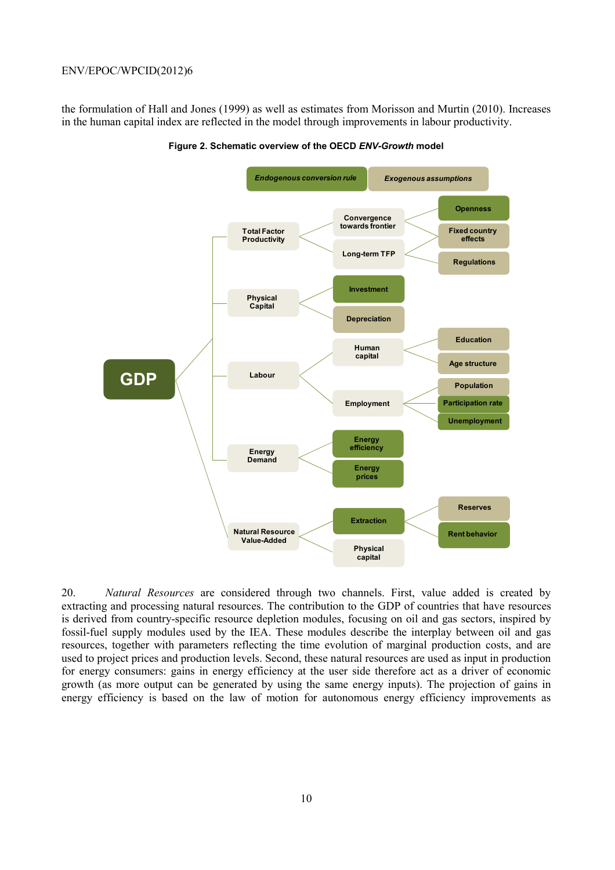the formulation of Hall and Jones (1999) as well as estimates from Morisson and Murtin (2010). Increases in the human capital index are reflected in the model through improvements in labour productivity.



**Figure 2. Schematic overview of the OECD** *ENV-Growth* **model** 

20. *Natural Resources* are considered through two channels. First, value added is created by extracting and processing natural resources. The contribution to the GDP of countries that have resources is derived from country-specific resource depletion modules, focusing on oil and gas sectors, inspired by fossil-fuel supply modules used by the IEA. These modules describe the interplay between oil and gas resources, together with parameters reflecting the time evolution of marginal production costs, and are used to project prices and production levels. Second, these natural resources are used as input in production for energy consumers: gains in energy efficiency at the user side therefore act as a driver of economic growth (as more output can be generated by using the same energy inputs). The projection of gains in energy efficiency is based on the law of motion for autonomous energy efficiency improvements as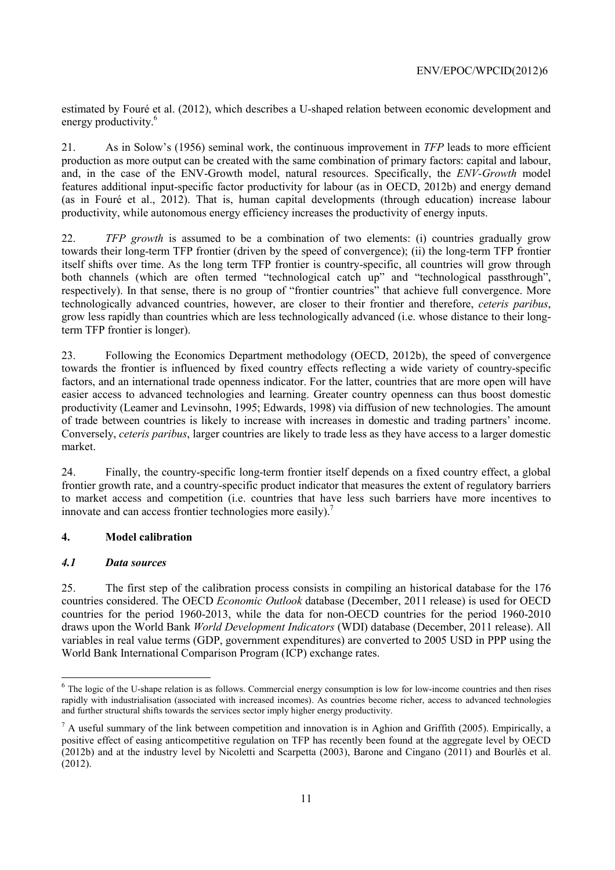estimated by Fouré et al. (2012), which describes a U-shaped relation between economic development and energy productivity.<sup>6</sup>

21. As in Solow's (1956) seminal work, the continuous improvement in *TFP* leads to more efficient production as more output can be created with the same combination of primary factors: capital and labour, and, in the case of the ENV-Growth model, natural resources. Specifically, the *ENV-Growth* model features additional input-specific factor productivity for labour (as in OECD, 2012b) and energy demand (as in Fouré et al., 2012). That is, human capital developments (through education) increase labour productivity, while autonomous energy efficiency increases the productivity of energy inputs.

22. *TFP growth* is assumed to be a combination of two elements: (i) countries gradually grow towards their long-term TFP frontier (driven by the speed of convergence); (ii) the long-term TFP frontier itself shifts over time. As the long term TFP frontier is country-specific, all countries will grow through both channels (which are often termed "technological catch up" and "technological passthrough", respectively). In that sense, there is no group of "frontier countries" that achieve full convergence. More technologically advanced countries, however, are closer to their frontier and therefore, *ceteris paribus*, grow less rapidly than countries which are less technologically advanced (i.e. whose distance to their longterm TFP frontier is longer).

23. Following the Economics Department methodology (OECD, 2012b), the speed of convergence towards the frontier is influenced by fixed country effects reflecting a wide variety of country-specific factors, and an international trade openness indicator. For the latter, countries that are more open will have easier access to advanced technologies and learning. Greater country openness can thus boost domestic productivity (Leamer and Levinsohn, 1995; Edwards, 1998) via diffusion of new technologies. The amount of trade between countries is likely to increase with increases in domestic and trading partners' income. Conversely, *ceteris paribus*, larger countries are likely to trade less as they have access to a larger domestic market.

24. Finally, the country-specific long-term frontier itself depends on a fixed country effect, a global frontier growth rate, and a country-specific product indicator that measures the extent of regulatory barriers to market access and competition (i.e. countries that have less such barriers have more incentives to innovate and can access frontier technologies more easily).<sup>7</sup>

## **4. Model calibration**

## *4.1 Data sources*

25. The first step of the calibration process consists in compiling an historical database for the 176 countries considered. The OECD *Economic Outlook* database (December, 2011 release) is used for OECD countries for the period 1960-2013, while the data for non-OECD countries for the period 1960-2010 draws upon the World Bank *World Development Indicators* (WDI) database (December, 2011 release). All variables in real value terms (GDP, government expenditures) are converted to 2005 USD in PPP using the World Bank International Comparison Program (ICP) exchange rates.

<sup>&</sup>lt;sup>6</sup> The logic of the U-shape relation is as follows. Commercial energy consumption is low for low-income countries and then rises rapidly with industrialisation (associated with increased incomes). As countries become richer, access to advanced technologies and further structural shifts towards the services sector imply higher energy productivity.

 $<sup>7</sup>$  A useful summary of the link between competition and innovation is in Aghion and Griffith (2005). Empirically, a</sup> positive effect of easing anticompetitive regulation on TFP has recently been found at the aggregate level by OECD (2012b) and at the industry level by Nicoletti and Scarpetta (2003), Barone and Cingano (2011) and Bourlès et al. (2012).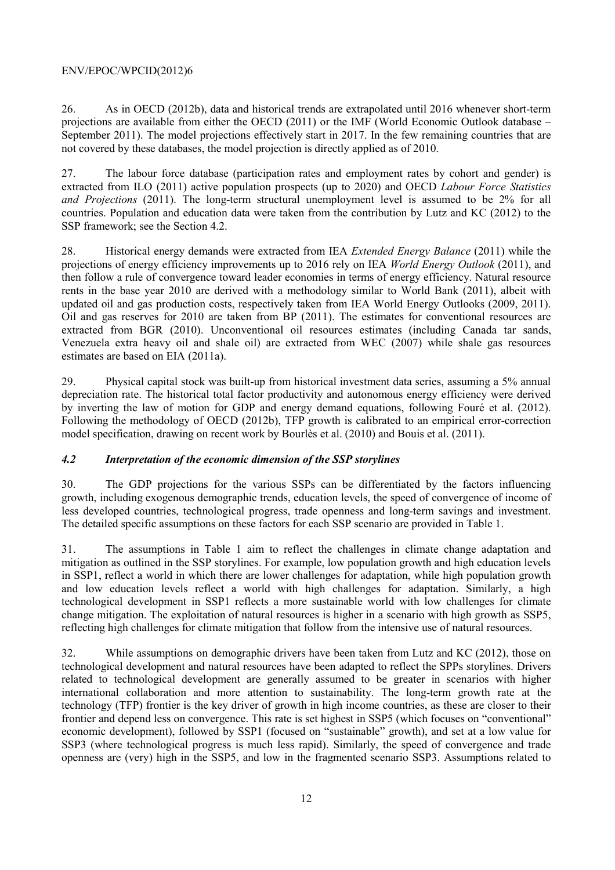26. As in OECD (2012b), data and historical trends are extrapolated until 2016 whenever short-term projections are available from either the OECD (2011) or the IMF (World Economic Outlook database – September 2011). The model projections effectively start in 2017. In the few remaining countries that are not covered by these databases, the model projection is directly applied as of 2010.

27. The labour force database (participation rates and employment rates by cohort and gender) is extracted from ILO (2011) active population prospects (up to 2020) and OECD *Labour Force Statistics and Projections* (2011). The long-term structural unemployment level is assumed to be 2% for all countries. Population and education data were taken from the contribution by Lutz and KC (2012) to the SSP framework; see the Section 4.2.

28. Historical energy demands were extracted from IEA *Extended Energy Balance* (2011) while the projections of energy efficiency improvements up to 2016 rely on IEA *World Energy Outlook* (2011), and then follow a rule of convergence toward leader economies in terms of energy efficiency. Natural resource rents in the base year 2010 are derived with a methodology similar to World Bank (2011), albeit with updated oil and gas production costs, respectively taken from IEA World Energy Outlooks (2009, 2011). Oil and gas reserves for 2010 are taken from BP (2011). The estimates for conventional resources are extracted from BGR (2010). Unconventional oil resources estimates (including Canada tar sands, Venezuela extra heavy oil and shale oil) are extracted from WEC (2007) while shale gas resources estimates are based on EIA (2011a).

29. Physical capital stock was built-up from historical investment data series, assuming a 5% annual depreciation rate. The historical total factor productivity and autonomous energy efficiency were derived by inverting the law of motion for GDP and energy demand equations, following Fouré et al. (2012). Following the methodology of OECD (2012b), TFP growth is calibrated to an empirical error-correction model specification, drawing on recent work by Bourlès et al. (2010) and Bouis et al. (2011).

## *4.2 Interpretation of the economic dimension of the SSP storylines*

30. The GDP projections for the various SSPs can be differentiated by the factors influencing growth, including exogenous demographic trends, education levels, the speed of convergence of income of less developed countries, technological progress, trade openness and long-term savings and investment. The detailed specific assumptions on these factors for each SSP scenario are provided in Table 1.

31. The assumptions in Table 1 aim to reflect the challenges in climate change adaptation and mitigation as outlined in the SSP storylines. For example, low population growth and high education levels in SSP1, reflect a world in which there are lower challenges for adaptation, while high population growth and low education levels reflect a world with high challenges for adaptation. Similarly, a high technological development in SSP1 reflects a more sustainable world with low challenges for climate change mitigation. The exploitation of natural resources is higher in a scenario with high growth as SSP5, reflecting high challenges for climate mitigation that follow from the intensive use of natural resources.

32. While assumptions on demographic drivers have been taken from Lutz and KC (2012), those on technological development and natural resources have been adapted to reflect the SPPs storylines. Drivers related to technological development are generally assumed to be greater in scenarios with higher international collaboration and more attention to sustainability. The long-term growth rate at the technology (TFP) frontier is the key driver of growth in high income countries, as these are closer to their frontier and depend less on convergence. This rate is set highest in SSP5 (which focuses on "conventional" economic development), followed by SSP1 (focused on "sustainable" growth), and set at a low value for SSP3 (where technological progress is much less rapid). Similarly, the speed of convergence and trade openness are (very) high in the SSP5, and low in the fragmented scenario SSP3. Assumptions related to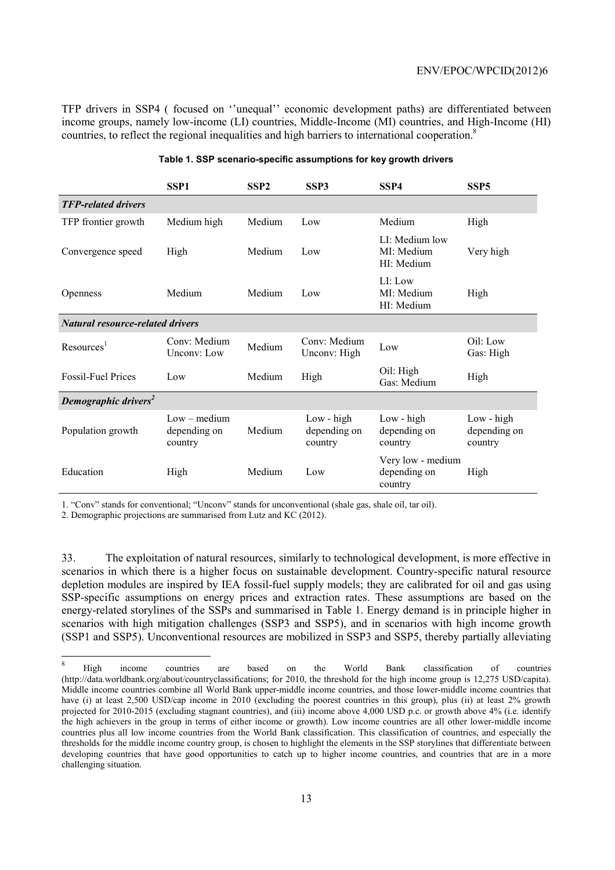TFP drivers in SSP4 ( focused on ''unequal'' economic development paths) are differentiated between income groups, namely low-income (LI) countries, Middle-Income (MI) countries, and High-Income (HI) countries, to reflect the regional inequalities and high barriers to international cooperation.<sup>8</sup>

|                                         | SSP <sub>1</sub>                          | SSP <sub>2</sub> | SSP3                                  | SSP4                                         | SSP <sub>5</sub>                        |  |  |  |  |  |  |
|-----------------------------------------|-------------------------------------------|------------------|---------------------------------------|----------------------------------------------|-----------------------------------------|--|--|--|--|--|--|
| <b>TFP-related drivers</b>              |                                           |                  |                                       |                                              |                                         |  |  |  |  |  |  |
| TFP frontier growth                     | Medium high                               | Medium           | Low                                   | Medium                                       | High                                    |  |  |  |  |  |  |
| Convergence speed                       | High                                      | Medium           | Low                                   | LI: Medium low<br>MI: Medium<br>HI: Medium   | Very high                               |  |  |  |  |  |  |
| <b>Openness</b>                         | Medium                                    | Medium           | Low                                   | LI: Low<br>MI: Medium<br>HI: Medium          | High                                    |  |  |  |  |  |  |
| <b>Natural resource-related drivers</b> |                                           |                  |                                       |                                              |                                         |  |  |  |  |  |  |
| Resources <sup>1</sup>                  | Conv: Medium<br>Unconv: Low               | Medium           | Conv: Medium<br>Unconv: High          | Low                                          | Oil: Low<br>Gas: High                   |  |  |  |  |  |  |
| <b>Fossil-Fuel Prices</b>               | Low                                       | Medium           | High                                  | Oil: High<br>Gas: Medium                     | High                                    |  |  |  |  |  |  |
| Demographic drivers <sup>2</sup>        |                                           |                  |                                       |                                              |                                         |  |  |  |  |  |  |
| Population growth                       | $Low - medium$<br>depending on<br>country | Medium           | Low - high<br>depending on<br>country | Low - high<br>depending on<br>country        | $Low - high$<br>depending on<br>country |  |  |  |  |  |  |
| Education                               | High                                      | Medium           | Low                                   | Very low - medium<br>depending on<br>country | High                                    |  |  |  |  |  |  |

#### **Table 1. SSP scenario-specific assumptions for key growth drivers**

1. "Conv" stands for conventional; "Unconv" stands for unconventional (shale gas, shale oil, tar oil).

2. Demographic projections are summarised from Lutz and KC (2012).

33. The exploitation of natural resources, similarly to technological development, is more effective in scenarios in which there is a higher focus on sustainable development. Country-specific natural resource depletion modules are inspired by IEA fossil-fuel supply models; they are calibrated for oil and gas using SSP-specific assumptions on energy prices and extraction rates. These assumptions are based on the energy-related storylines of the SSPs and summarised in Table 1. Energy demand is in principle higher in scenarios with high mitigation challenges (SSP3 and SSP5), and in scenarios with high income growth (SSP1 and SSP5). Unconventional resources are mobilized in SSP3 and SSP5, thereby partially alleviating

 $\overline{8}$ <sup>8</sup> High income countries are based on the World Bank classification of countries (http://data.worldbank.org/about/countryclassifications; for 2010, the threshold for the high income group is 12,275 USD/capita). Middle income countries combine all World Bank upper-middle income countries, and those lower-middle income countries that have (i) at least 2,500 USD/cap income in 2010 (excluding the poorest countries in this group), plus (ii) at least 2% growth projected for 2010-2015 (excluding stagnant countries), and (iii) income above 4,000 USD p.c. or growth above 4% (i.e. identify the high achievers in the group in terms of either income or growth). Low income countries are all other lower-middle income countries plus all low income countries from the World Bank classification. This classification of countries, and especially the thresholds for the middle income country group, is chosen to highlight the elements in the SSP storylines that differentiate between developing countries that have good opportunities to catch up to higher income countries, and countries that are in a more challenging situation.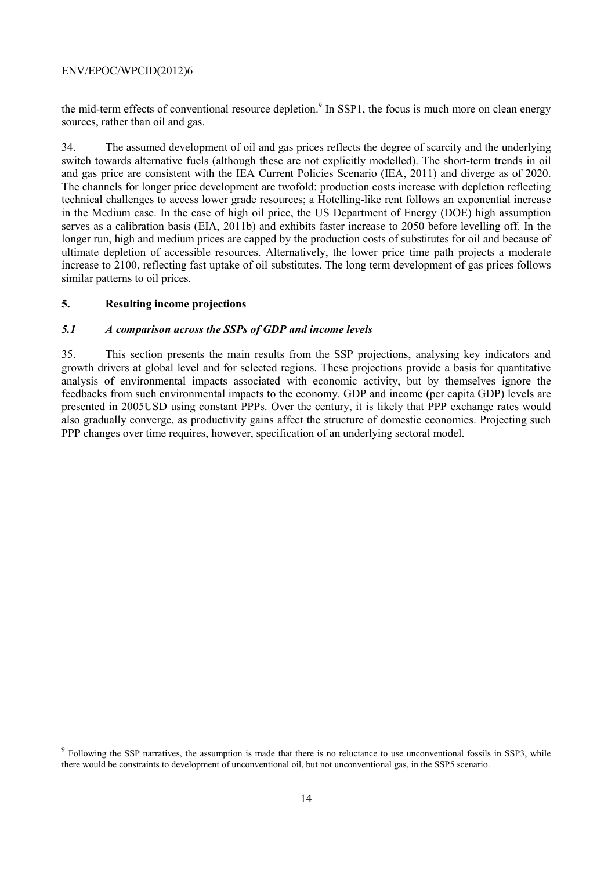the mid-term effects of conventional resource depletion.<sup>9</sup> In SSP1, the focus is much more on clean energy sources, rather than oil and gas.

34. The assumed development of oil and gas prices reflects the degree of scarcity and the underlying switch towards alternative fuels (although these are not explicitly modelled). The short-term trends in oil and gas price are consistent with the IEA Current Policies Scenario (IEA, 2011) and diverge as of 2020. The channels for longer price development are twofold: production costs increase with depletion reflecting technical challenges to access lower grade resources; a Hotelling-like rent follows an exponential increase in the Medium case. In the case of high oil price, the US Department of Energy (DOE) high assumption serves as a calibration basis (EIA, 2011b) and exhibits faster increase to 2050 before levelling off. In the longer run, high and medium prices are capped by the production costs of substitutes for oil and because of ultimate depletion of accessible resources. Alternatively, the lower price time path projects a moderate increase to 2100, reflecting fast uptake of oil substitutes. The long term development of gas prices follows similar patterns to oil prices.

## **5. Resulting income projections**

 $\overline{a}$ 

## *5.1 A comparison across the SSPs of GDP and income levels*

35. This section presents the main results from the SSP projections, analysing key indicators and growth drivers at global level and for selected regions. These projections provide a basis for quantitative analysis of environmental impacts associated with economic activity, but by themselves ignore the feedbacks from such environmental impacts to the economy. GDP and income (per capita GDP) levels are presented in 2005USD using constant PPPs. Over the century, it is likely that PPP exchange rates would also gradually converge, as productivity gains affect the structure of domestic economies. Projecting such PPP changes over time requires, however, specification of an underlying sectoral model.

Following the SSP narratives, the assumption is made that there is no reluctance to use unconventional fossils in SSP3, while there would be constraints to development of unconventional oil, but not unconventional gas, in the SSP5 scenario.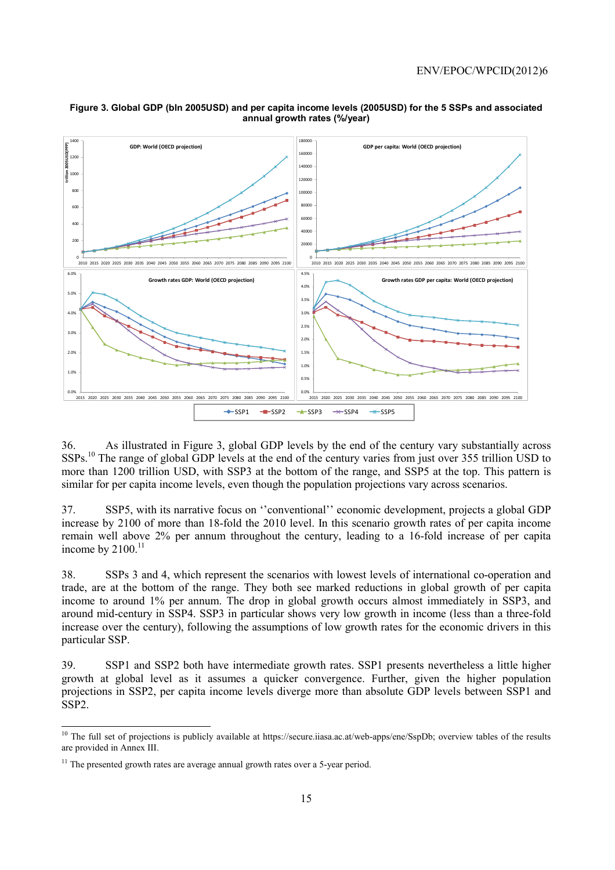

#### **Figure 3. Global GDP (bln 2005USD) and per capita income levels (2005USD) for the 5 SSPs and associated annual growth rates (%/year)**

36. As illustrated in Figure 3, global GDP levels by the end of the century vary substantially across SSPs.10 The range of global GDP levels at the end of the century varies from just over 355 trillion USD to more than 1200 trillion USD, with SSP3 at the bottom of the range, and SSP5 at the top. This pattern is similar for per capita income levels, even though the population projections vary across scenarios.

37. SSP5, with its narrative focus on ''conventional'' economic development, projects a global GDP increase by 2100 of more than 18-fold the 2010 level. In this scenario growth rates of per capita income remain well above 2% per annum throughout the century, leading to a 16-fold increase of per capita income by  $2100$ .<sup>11</sup>

38. SSPs 3 and 4, which represent the scenarios with lowest levels of international co-operation and trade, are at the bottom of the range. They both see marked reductions in global growth of per capita income to around 1% per annum. The drop in global growth occurs almost immediately in SSP3, and around mid-century in SSP4. SSP3 in particular shows very low growth in income (less than a three-fold increase over the century), following the assumptions of low growth rates for the economic drivers in this particular SSP.

39. SSP1 and SSP2 both have intermediate growth rates. SSP1 presents nevertheless a little higher growth at global level as it assumes a quicker convergence. Further, given the higher population projections in SSP2, per capita income levels diverge more than absolute GDP levels between SSP1 and SSP2.

<sup>&</sup>lt;sup>10</sup> The full set of projections is publicly available at https://secure.iiasa.ac.at/web-apps/ene/SspDb; overview tables of the results are provided in Annex III.

 $11$  The presented growth rates are average annual growth rates over a 5-year period.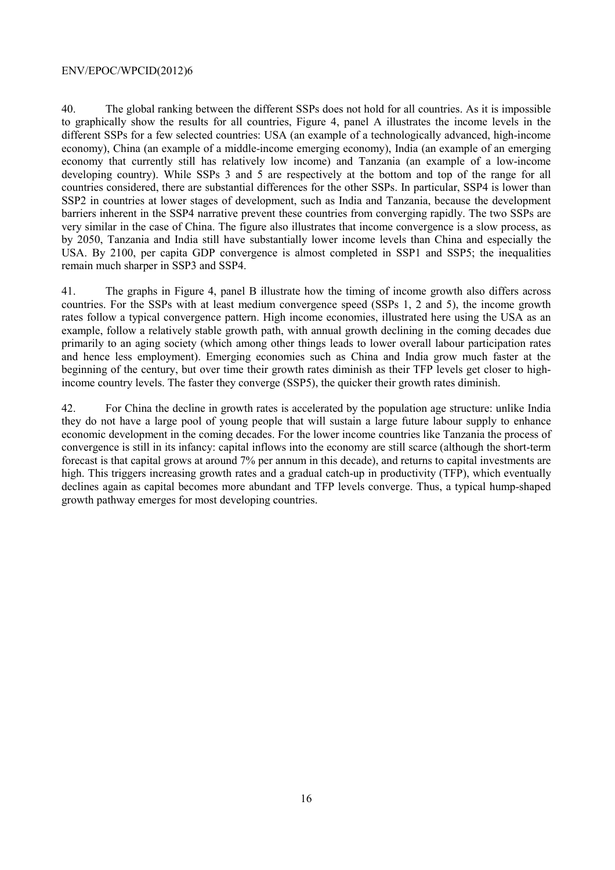40. The global ranking between the different SSPs does not hold for all countries. As it is impossible to graphically show the results for all countries, Figure 4, panel A illustrates the income levels in the different SSPs for a few selected countries: USA (an example of a technologically advanced, high-income economy), China (an example of a middle-income emerging economy), India (an example of an emerging economy that currently still has relatively low income) and Tanzania (an example of a low-income developing country). While SSPs 3 and 5 are respectively at the bottom and top of the range for all countries considered, there are substantial differences for the other SSPs. In particular, SSP4 is lower than SSP2 in countries at lower stages of development, such as India and Tanzania, because the development barriers inherent in the SSP4 narrative prevent these countries from converging rapidly. The two SSPs are very similar in the case of China. The figure also illustrates that income convergence is a slow process, as by 2050, Tanzania and India still have substantially lower income levels than China and especially the USA. By 2100, per capita GDP convergence is almost completed in SSP1 and SSP5; the inequalities remain much sharper in SSP3 and SSP4.

41. The graphs in Figure 4, panel B illustrate how the timing of income growth also differs across countries. For the SSPs with at least medium convergence speed (SSPs 1, 2 and 5), the income growth rates follow a typical convergence pattern. High income economies, illustrated here using the USA as an example, follow a relatively stable growth path, with annual growth declining in the coming decades due primarily to an aging society (which among other things leads to lower overall labour participation rates and hence less employment). Emerging economies such as China and India grow much faster at the beginning of the century, but over time their growth rates diminish as their TFP levels get closer to highincome country levels. The faster they converge (SSP5), the quicker their growth rates diminish.

42. For China the decline in growth rates is accelerated by the population age structure: unlike India they do not have a large pool of young people that will sustain a large future labour supply to enhance economic development in the coming decades. For the lower income countries like Tanzania the process of convergence is still in its infancy: capital inflows into the economy are still scarce (although the short-term forecast is that capital grows at around 7% per annum in this decade), and returns to capital investments are high. This triggers increasing growth rates and a gradual catch-up in productivity (TFP), which eventually declines again as capital becomes more abundant and TFP levels converge. Thus, a typical hump-shaped growth pathway emerges for most developing countries.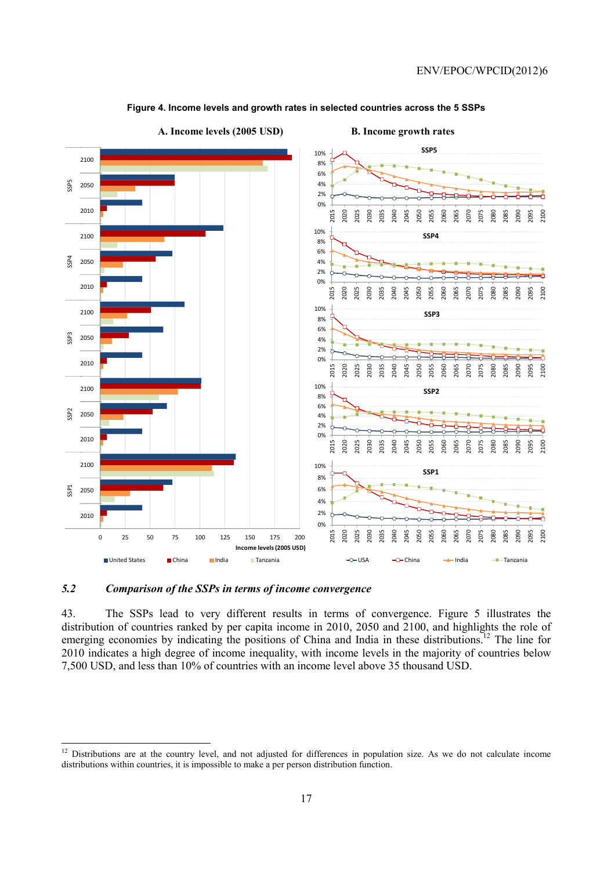

#### **Figure 4. Income levels and growth rates in selected countries across the 5 SSPs**

*5.2 Comparison of the SSPs in terms of income convergence* 

 $\overline{a}$ 

43. The SSPs lead to very different results in terms of convergence. Figure 5 illustrates the distribution of countries ranked by per capita income in 2010, 2050 and 2100, and highlights the role of emerging economies by indicating the positions of China and India in these distributions.<sup>12</sup> The line for 2010 indicates a high degree of income inequality, with income levels in the majority of countries below 7,500 USD, and less than 10% of countries with an income level above 35 thousand USD.

<sup>&</sup>lt;sup>12</sup> Distributions are at the country level, and not adjusted for differences in population size. As we do not calculate income distributions within countries, it is impossible to make a per person distribution function.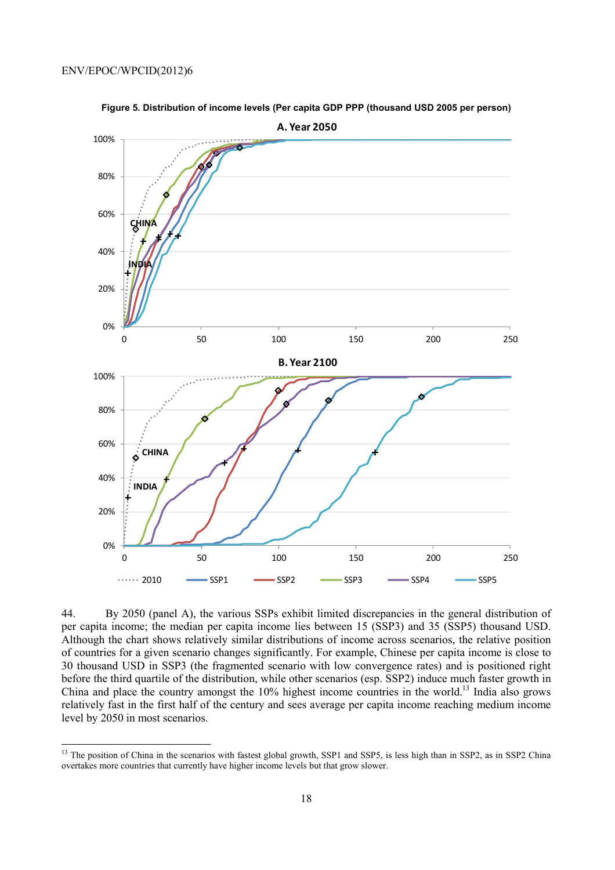

**Figure 5. Distribution of income levels (Per capita GDP PPP (thousand USD 2005 per person)** 

44. By 2050 (panel A), the various SSPs exhibit limited discrepancies in the general distribution of per capita income; the median per capita income lies between 15 (SSP3) and 35 (SSP5) thousand USD. Although the chart shows relatively similar distributions of income across scenarios, the relative position of countries for a given scenario changes significantly. For example, Chinese per capita income is close to 30 thousand USD in SSP3 (the fragmented scenario with low convergence rates) and is positioned right before the third quartile of the distribution, while other scenarios (esp. SSP2) induce much faster growth in China and place the country amongst the 10% highest income countries in the world.13 India also grows relatively fast in the first half of the century and sees average per capita income reaching medium income level by 2050 in most scenarios.

<sup>&</sup>lt;sup>13</sup> The position of China in the scenarios with fastest global growth, SSP1 and SSP5, is less high than in SSP2, as in SSP2 China overtakes more countries that currently have higher income levels but that grow slower.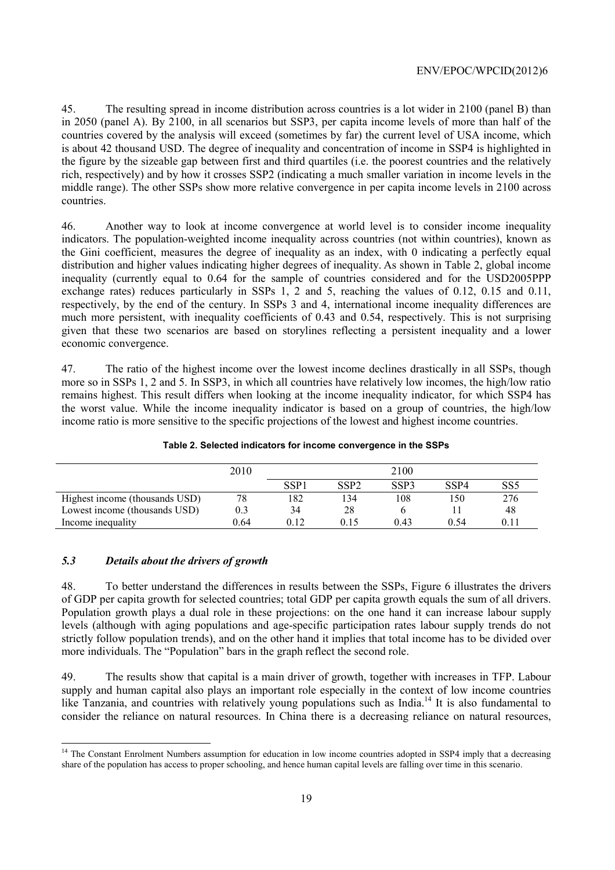45. The resulting spread in income distribution across countries is a lot wider in 2100 (panel B) than in 2050 (panel A). By 2100, in all scenarios but SSP3, per capita income levels of more than half of the countries covered by the analysis will exceed (sometimes by far) the current level of USA income, which is about 42 thousand USD. The degree of inequality and concentration of income in SSP4 is highlighted in the figure by the sizeable gap between first and third quartiles (i.e. the poorest countries and the relatively rich, respectively) and by how it crosses SSP2 (indicating a much smaller variation in income levels in the middle range). The other SSPs show more relative convergence in per capita income levels in 2100 across countries.

46. Another way to look at income convergence at world level is to consider income inequality indicators. The population-weighted income inequality across countries (not within countries), known as the Gini coefficient, measures the degree of inequality as an index, with 0 indicating a perfectly equal distribution and higher values indicating higher degrees of inequality. As shown in Table 2, global income inequality (currently equal to 0.64 for the sample of countries considered and for the USD2005PPP exchange rates) reduces particularly in SSPs 1, 2 and 5, reaching the values of 0.12, 0.15 and 0.11, respectively, by the end of the century. In SSPs 3 and 4, international income inequality differences are much more persistent, with inequality coefficients of 0.43 and 0.54, respectively. This is not surprising given that these two scenarios are based on storylines reflecting a persistent inequality and a lower economic convergence.

47. The ratio of the highest income over the lowest income declines drastically in all SSPs, though more so in SSPs 1, 2 and 5. In SSP3, in which all countries have relatively low incomes, the high/low ratio remains highest. This result differs when looking at the income inequality indicator, for which SSP4 has the worst value. While the income inequality indicator is based on a group of countries, the high/low income ratio is more sensitive to the specific projections of the lowest and highest income countries.

|                                | 2010 |                  |                  | 2100 |      |                 |
|--------------------------------|------|------------------|------------------|------|------|-----------------|
|                                |      | SSP <sub>1</sub> | SSP <sub>2</sub> | SSP3 | SSP4 | SS <sub>5</sub> |
| Highest income (thousands USD) | 78   | 182              | 134              | 108  | 150  | 276             |
| Lowest income (thousands USD)  | 0.3  | 34               | 28               |      |      | 48              |
| Income inequality              | 0.64 | 0.12             | 0.15             | 0.43 | 0.54 | 011             |

**Table 2. Selected indicators for income convergence in the SSPs** 

## *5.3 Details about the drivers of growth*

 $\overline{a}$ 

48. To better understand the differences in results between the SSPs, Figure 6 illustrates the drivers of GDP per capita growth for selected countries; total GDP per capita growth equals the sum of all drivers. Population growth plays a dual role in these projections: on the one hand it can increase labour supply levels (although with aging populations and age-specific participation rates labour supply trends do not strictly follow population trends), and on the other hand it implies that total income has to be divided over more individuals. The "Population" bars in the graph reflect the second role.

49. The results show that capital is a main driver of growth, together with increases in TFP. Labour supply and human capital also plays an important role especially in the context of low income countries like Tanzania, and countries with relatively young populations such as India.<sup>14</sup> It is also fundamental to consider the reliance on natural resources. In China there is a decreasing reliance on natural resources,

<sup>&</sup>lt;sup>14</sup> The Constant Enrolment Numbers assumption for education in low income countries adopted in SSP4 imply that a decreasing share of the population has access to proper schooling, and hence human capital levels are falling over time in this scenario.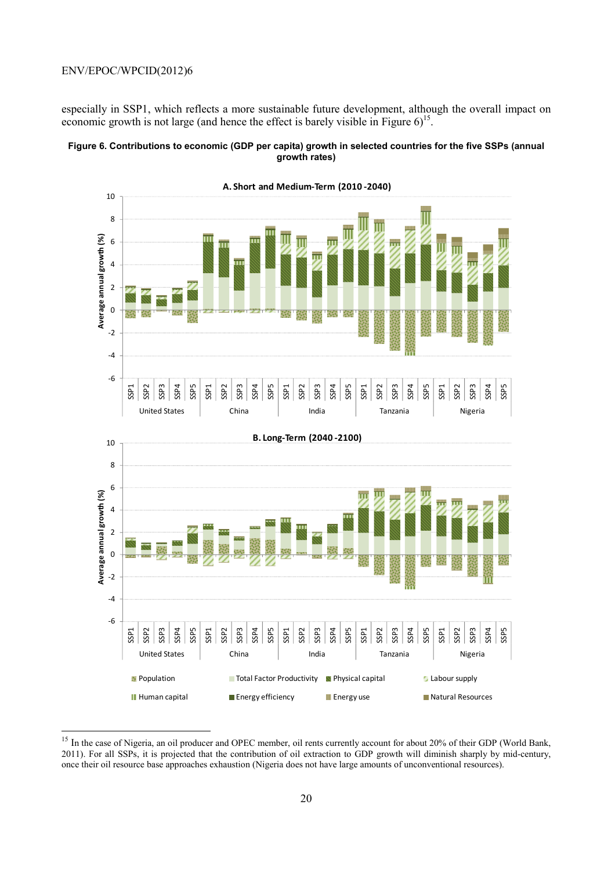$\overline{a}$ 

especially in SSP1, which reflects a more sustainable future development, although the overall impact on economic growth is not large (and hence the effect is barely visible in Figure  $6$ )<sup>15</sup>.





<sup>&</sup>lt;sup>15</sup> In the case of Nigeria, an oil producer and OPEC member, oil rents currently account for about 20% of their GDP (World Bank, 2011). For all SSPs, it is projected that the contribution of oil extraction to GDP growth will diminish sharply by mid-century, once their oil resource base approaches exhaustion (Nigeria does not have large amounts of unconventional resources).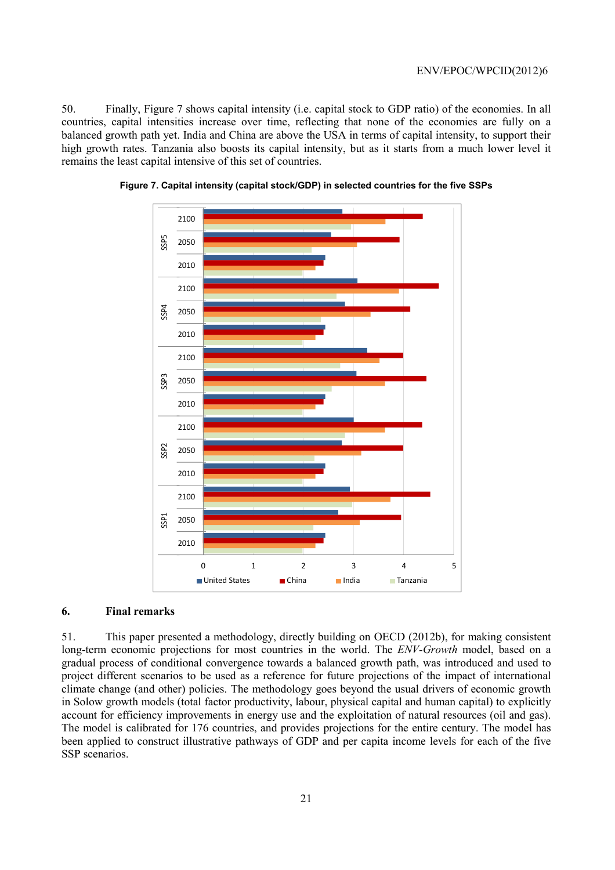50. Finally, Figure 7 shows capital intensity (i.e. capital stock to GDP ratio) of the economies. In all countries, capital intensities increase over time, reflecting that none of the economies are fully on a balanced growth path yet. India and China are above the USA in terms of capital intensity, to support their high growth rates. Tanzania also boosts its capital intensity, but as it starts from a much lower level it remains the least capital intensive of this set of countries.





## **6. Final remarks**

51. This paper presented a methodology, directly building on OECD (2012b), for making consistent long-term economic projections for most countries in the world. The *ENV-Growth* model, based on a gradual process of conditional convergence towards a balanced growth path, was introduced and used to project different scenarios to be used as a reference for future projections of the impact of international climate change (and other) policies. The methodology goes beyond the usual drivers of economic growth in Solow growth models (total factor productivity, labour, physical capital and human capital) to explicitly account for efficiency improvements in energy use and the exploitation of natural resources (oil and gas). The model is calibrated for 176 countries, and provides projections for the entire century. The model has been applied to construct illustrative pathways of GDP and per capita income levels for each of the five SSP scenarios.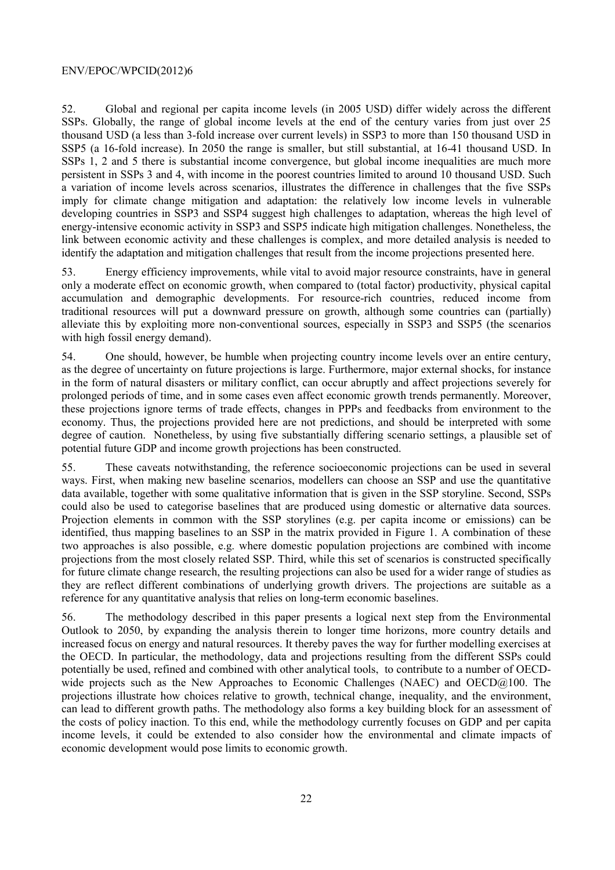52. Global and regional per capita income levels (in 2005 USD) differ widely across the different SSPs. Globally, the range of global income levels at the end of the century varies from just over 25 thousand USD (a less than 3-fold increase over current levels) in SSP3 to more than 150 thousand USD in SSP5 (a 16-fold increase). In 2050 the range is smaller, but still substantial, at 16-41 thousand USD. In SSPs 1, 2 and 5 there is substantial income convergence, but global income inequalities are much more persistent in SSPs 3 and 4, with income in the poorest countries limited to around 10 thousand USD. Such a variation of income levels across scenarios, illustrates the difference in challenges that the five SSPs imply for climate change mitigation and adaptation: the relatively low income levels in vulnerable developing countries in SSP3 and SSP4 suggest high challenges to adaptation, whereas the high level of energy-intensive economic activity in SSP3 and SSP5 indicate high mitigation challenges. Nonetheless, the link between economic activity and these challenges is complex, and more detailed analysis is needed to identify the adaptation and mitigation challenges that result from the income projections presented here.

53. Energy efficiency improvements, while vital to avoid major resource constraints, have in general only a moderate effect on economic growth, when compared to (total factor) productivity, physical capital accumulation and demographic developments. For resource-rich countries, reduced income from traditional resources will put a downward pressure on growth, although some countries can (partially) alleviate this by exploiting more non-conventional sources, especially in SSP3 and SSP5 (the scenarios with high fossil energy demand).

54. One should, however, be humble when projecting country income levels over an entire century, as the degree of uncertainty on future projections is large. Furthermore, major external shocks, for instance in the form of natural disasters or military conflict, can occur abruptly and affect projections severely for prolonged periods of time, and in some cases even affect economic growth trends permanently. Moreover, these projections ignore terms of trade effects, changes in PPPs and feedbacks from environment to the economy. Thus, the projections provided here are not predictions, and should be interpreted with some degree of caution. Nonetheless, by using five substantially differing scenario settings, a plausible set of potential future GDP and income growth projections has been constructed.

55. These caveats notwithstanding, the reference socioeconomic projections can be used in several ways. First, when making new baseline scenarios, modellers can choose an SSP and use the quantitative data available, together with some qualitative information that is given in the SSP storyline. Second, SSPs could also be used to categorise baselines that are produced using domestic or alternative data sources. Projection elements in common with the SSP storylines (e.g. per capita income or emissions) can be identified, thus mapping baselines to an SSP in the matrix provided in Figure 1. A combination of these two approaches is also possible, e.g. where domestic population projections are combined with income projections from the most closely related SSP. Third, while this set of scenarios is constructed specifically for future climate change research, the resulting projections can also be used for a wider range of studies as they are reflect different combinations of underlying growth drivers. The projections are suitable as a reference for any quantitative analysis that relies on long-term economic baselines.

56. The methodology described in this paper presents a logical next step from the Environmental Outlook to 2050, by expanding the analysis therein to longer time horizons, more country details and increased focus on energy and natural resources. It thereby paves the way for further modelling exercises at the OECD. In particular, the methodology, data and projections resulting from the different SSPs could potentially be used, refined and combined with other analytical tools, to contribute to a number of OECDwide projects such as the New Approaches to Economic Challenges (NAEC) and OECD@100. The projections illustrate how choices relative to growth, technical change, inequality, and the environment, can lead to different growth paths. The methodology also forms a key building block for an assessment of the costs of policy inaction. To this end, while the methodology currently focuses on GDP and per capita income levels, it could be extended to also consider how the environmental and climate impacts of economic development would pose limits to economic growth.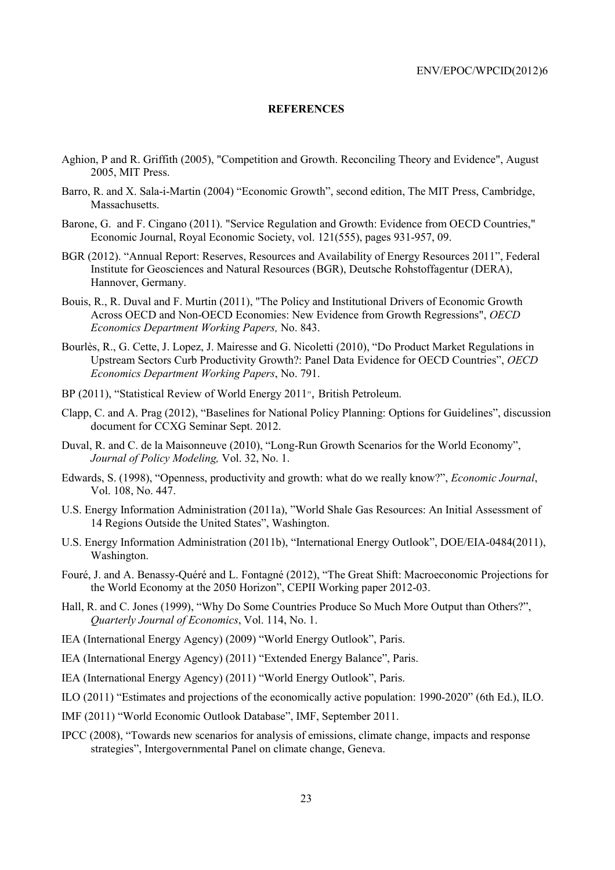## **REFERENCES**

- Aghion, P and R. Griffith (2005), "Competition and Growth. Reconciling Theory and Evidence", August 2005, MIT Press.
- Barro, R. and X. Sala-i-Martin (2004) "Economic Growth", second edition, The MIT Press, Cambridge, Massachusetts.
- Barone, G. and F. Cingano (2011). "Service Regulation and Growth: Evidence from OECD Countries," Economic Journal, Royal Economic Society, vol. 121(555), pages 931-957, 09.
- BGR (2012). "Annual Report: Reserves, Resources and Availability of Energy Resources 2011", Federal Institute for Geosciences and Natural Resources (BGR), Deutsche Rohstoffagentur (DERA), Hannover, Germany.
- Bouis, R., R. Duval and F. Murtin (2011), "The Policy and Institutional Drivers of Economic Growth Across OECD and Non-OECD Economies: New Evidence from Growth Regressions", *OECD Economics Department Working Papers,* No. 843.
- Bourlès, R., G. Cette, J. Lopez, J. Mairesse and G. Nicoletti (2010), "Do Product Market Regulations in Upstream Sectors Curb Productivity Growth?: Panel Data Evidence for OECD Countries", *OECD Economics Department Working Papers*, No. 791.
- BP (2011), "Statistical Review of World Energy 2011**"**, British Petroleum.
- Clapp, C. and A. Prag (2012), "Baselines for National Policy Planning: Options for Guidelines", discussion document for CCXG Seminar Sept. 2012.
- Duval, R. and C. de la Maisonneuve (2010), "Long-Run Growth Scenarios for the World Economy", *Journal of Policy Modeling,* Vol. 32, No. 1.
- Edwards, S. (1998), "Openness, productivity and growth: what do we really know?", *Economic Journal*, Vol. 108, No. 447.
- U.S. Energy Information Administration (2011a), "World Shale Gas Resources: An Initial Assessment of 14 Regions Outside the United States", Washington.
- U.S. Energy Information Administration (2011b), "International Energy Outlook", DOE/EIA-0484(2011), Washington.
- Fouré, J. and A. Benassy-Quéré and L. Fontagné (2012), "The Great Shift: Macroeconomic Projections for the World Economy at the 2050 Horizon", CEPII Working paper 2012-03.
- Hall, R. and C. Jones (1999), "Why Do Some Countries Produce So Much More Output than Others?", *Quarterly Journal of Economics*, Vol. 114, No. 1.
- IEA (International Energy Agency) (2009) "World Energy Outlook", Paris.
- IEA (International Energy Agency) (2011) "Extended Energy Balance", Paris.
- IEA (International Energy Agency) (2011) "World Energy Outlook", Paris.
- ILO (2011) "Estimates and projections of the economically active population: 1990-2020" (6th Ed.), ILO.
- IMF (2011) "World Economic Outlook Database", IMF, September 2011.
- IPCC (2008), "Towards new scenarios for analysis of emissions, climate change, impacts and response strategies", Intergovernmental Panel on climate change, Geneva.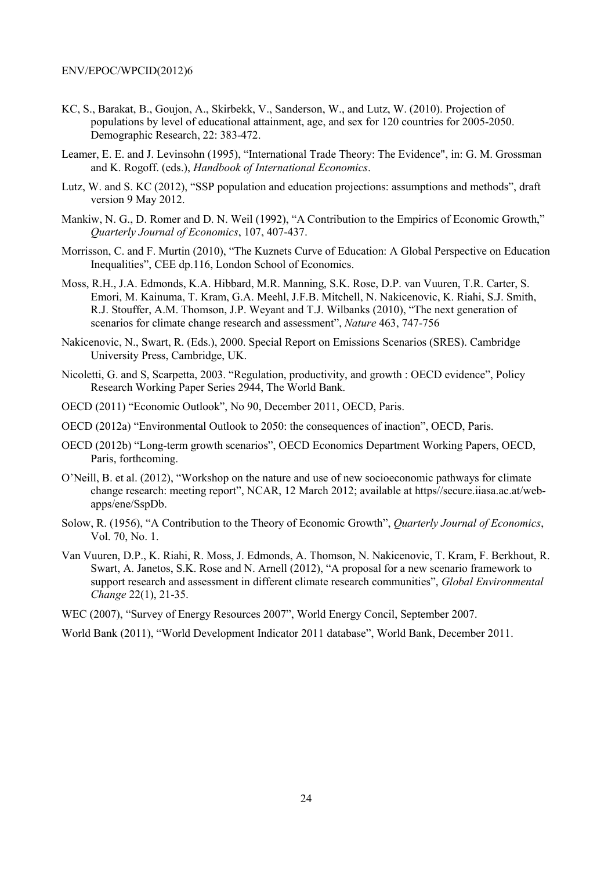- KC, S., Barakat, B., Goujon, A., Skirbekk, V., Sanderson, W., and Lutz, W. (2010). Projection of populations by level of educational attainment, age, and sex for 120 countries for 2005-2050. Demographic Research, 22: 383-472.
- Leamer, E. E. and J. Levinsohn (1995), "International Trade Theory: The Evidence", in: G. M. Grossman and K. Rogoff. (eds.), *Handbook of International Economics*.
- Lutz, W. and S. KC (2012), "SSP population and education projections: assumptions and methods", draft version 9 May 2012.
- Mankiw, N. G., D. Romer and D. N. Weil (1992), "A Contribution to the Empirics of Economic Growth," *Quarterly Journal of Economics*, 107, 407-437.
- Morrisson, C. and F. Murtin (2010), "The Kuznets Curve of Education: A Global Perspective on Education Inequalities", CEE dp.116, London School of Economics.
- Moss, R.H., J.A. Edmonds, K.A. Hibbard, M.R. Manning, S.K. Rose, D.P. van Vuuren, T.R. Carter, S. Emori, M. Kainuma, T. Kram, G.A. Meehl, J.F.B. Mitchell, N. Nakicenovic, K. Riahi, S.J. Smith, R.J. Stouffer, A.M. Thomson, J.P. Weyant and T.J. Wilbanks (2010), "The next generation of scenarios for climate change research and assessment", *Nature* 463, 747-756
- Nakicenovic, N., Swart, R. (Eds.), 2000. Special Report on Emissions Scenarios (SRES). Cambridge University Press, Cambridge, UK.
- Nicoletti, G. and S, Scarpetta, 2003. "Regulation, productivity, and growth : OECD evidence", Policy Research Working Paper Series 2944, The World Bank.
- OECD (2011) "Economic Outlook", No 90, December 2011, OECD, Paris.
- OECD (2012a) "Environmental Outlook to 2050: the consequences of inaction", OECD, Paris.
- OECD (2012b) "Long-term growth scenarios", OECD Economics Department Working Papers, OECD, Paris, forthcoming.
- O'Neill, B. et al. (2012), "Workshop on the nature and use of new socioeconomic pathways for climate change research: meeting report", NCAR, 12 March 2012; available at https//secure.iiasa.ac.at/webapps/ene/SspDb.
- Solow, R. (1956), "A Contribution to the Theory of Economic Growth", *Quarterly Journal of Economics*, Vol. 70, No. 1.
- Van Vuuren, D.P., K. Riahi, R. Moss, J. Edmonds, A. Thomson, N. Nakicenovic, T. Kram, F. Berkhout, R. Swart, A. Janetos, S.K. Rose and N. Arnell (2012), "A proposal for a new scenario framework to support research and assessment in different climate research communities", *Global Environmental Change* 22(1), 21-35.

WEC (2007), "Survey of Energy Resources 2007", World Energy Concil, September 2007.

World Bank (2011), "World Development Indicator 2011 database", World Bank, December 2011.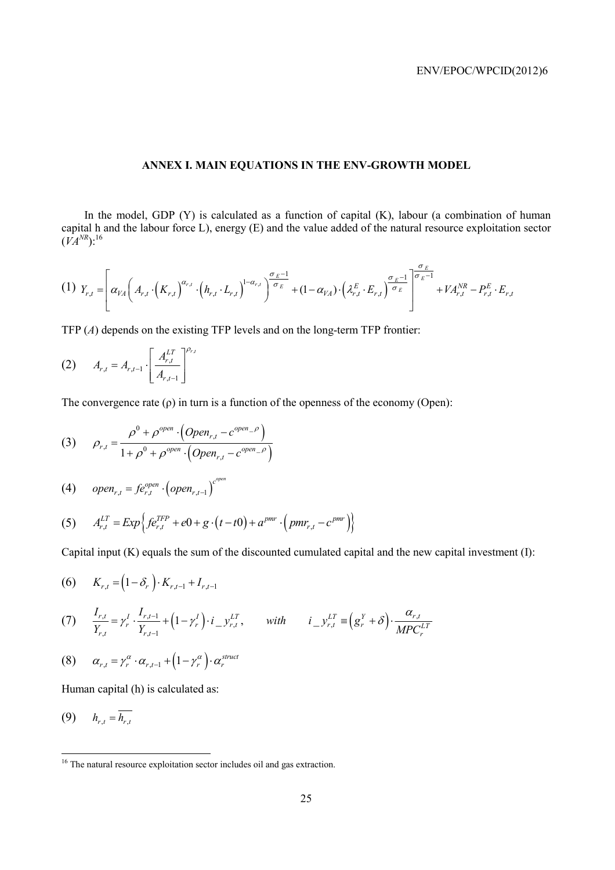## **ANNEX I. MAIN EQUATIONS IN THE ENV-GROWTH MODEL**

In the model, GDP (Y) is calculated as a function of capital (K), labour (a combination of human capital h and the labour force L), energy (E) and the value added of the natural resource exploitation sector  $(VA^{NR})$ :<sup>16</sup>

$$
(1) \ \ Y_{r,t} = \left[\alpha_{VA}\left(A_{r,t}\cdot\left(K_{r,t}\right)^{\alpha_{r,t}}\cdot\left(h_{r,t}\cdot L_{r,t}\right)^{1-\alpha_{r,t}}\right)^{\frac{\sigma_E-1}{\sigma_E}} + (1-\alpha_{VA})\cdot\left(\lambda_{r,t}^E\cdot E_{r,t}\right)^{\frac{\sigma_E-1}{\sigma_E}}\right]^{\frac{\sigma_E}{\sigma_E-1}} + VA_{r,t}^{NR} - P_{r,t}^E\cdot E_{r,t}
$$

TFP (*A*) depends on the existing TFP levels and on the long-term TFP frontier:

(2) 
$$
A_{r,t} = A_{r,t-1} \cdot \left[ \frac{A_{r,t}^{LT}}{A_{r,t-1}} \right]^{P_{r,t}}
$$

The convergence rate  $(\rho)$  in turn is a function of the openness of the economy (Open):

(3) 
$$
\rho_{r,t} = \frac{\rho^0 + \rho^{open} \cdot (Open_{r,t} - c^{open} - \rho)}{1 + \rho^0 + \rho^{open} \cdot (Open_{r,t} - c^{open} - \rho)}
$$

$$
(4) \qquad open_{r,t} = f e_{r,t}^{open} \cdot \left( open_{r,t-1} \right)^{c^{open}}
$$

(5) 
$$
A_{r,t}^{LT} = Exp \Big\{ fe_{r,t}^{TFP} + e0 + g \cdot (t - t0) + a^{pmr} \cdot (pmr_{r,t} - c^{pmr}) \Big\}
$$

Capital input (K) equals the sum of the discounted cumulated capital and the new capital investment (I):

$$
(6) \qquad K_{r,t} = (1 - \delta_r) \cdot K_{r,t-1} + I_{r,t-1}
$$

(7) 
$$
\frac{I_{r,t}}{Y_{r,t}} = \gamma_r^I \cdot \frac{I_{r,t-1}}{Y_{r,t-1}} + (1 - \gamma_r^I) \cdot i_{-} y_{r,t}^{LT}, \quad \text{with} \quad i_{-} y_{r,t}^{LT} \equiv (g_r^Y + \delta) \cdot \frac{\alpha_{r,t}}{M P C_r^{LT}}
$$

$$
(8) \qquad \alpha_{r,t} = \gamma_r^{\alpha} \cdot \alpha_{r,t-1} + \left(1 - \gamma_r^{\alpha}\right) \cdot \alpha_r^{struct}
$$

Human capital (h) is calculated as:

$$
(9) \qquad h_{r,t} = \overline{h_{r,t}}
$$

 $\overline{a}$ 

<sup>&</sup>lt;sup>16</sup> The natural resource exploitation sector includes oil and gas extraction.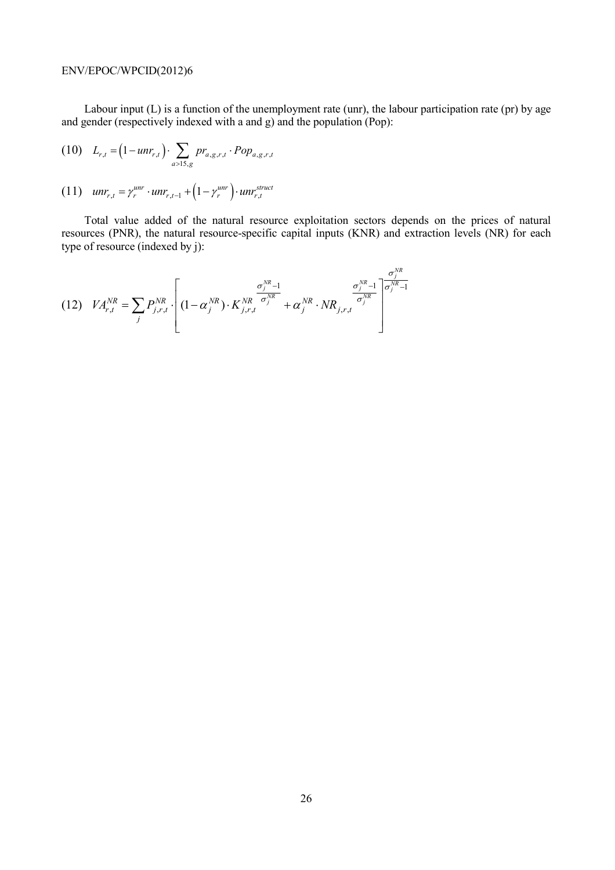Labour input (L) is a function of the unemployment rate (unr), the labour participation rate (pr) by age and gender (respectively indexed with a and g) and the population (Pop):

(10) 
$$
L_{r,t} = (1 - unr_{r,t}) \cdot \sum_{a>15,g} pr_{a,g,r,t} \cdot Pop_{a,g,r,t}
$$

$$
(11) \quad unr_{r,t} = \gamma_r^{unr} \cdot unr_{r,t-1} + \left(1 - \gamma_r^{unr}\right) \cdot unr_{r,t}^{struct}
$$

Total value added of the natural resource exploitation sectors depends on the prices of natural resources (PNR), the natural resource-specific capital inputs (KNR) and extraction levels (NR) for each type of resource (indexed by j):

(12) 
$$
VA_{r,t}^{NR} = \sum_{j} P_{j,r,t}^{NR} \cdot \left[ (1 - \alpha_j^{NR}) \cdot K_{j,r,t}^{NR} \frac{\sigma_j^{NR} - 1}{\sigma_j^{NR}} + \alpha_j^{NR} \cdot NR_{j,r,t} \frac{\sigma_j^{NR} - 1}{\sigma_j^{NR}} \right]
$$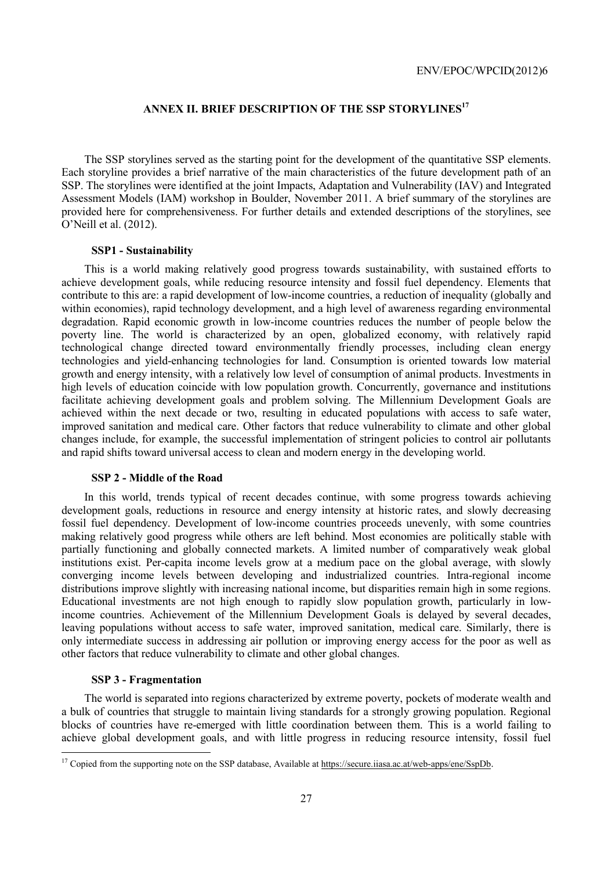## **ANNEX II. BRIEF DESCRIPTION OF THE SSP STORYLINES17**

The SSP storylines served as the starting point for the development of the quantitative SSP elements. Each storyline provides a brief narrative of the main characteristics of the future development path of an SSP. The storylines were identified at the joint Impacts, Adaptation and Vulnerability (IAV) and Integrated Assessment Models (IAM) workshop in Boulder, November 2011. A brief summary of the storylines are provided here for comprehensiveness. For further details and extended descriptions of the storylines, see O'Neill et al. (2012).

#### **SSP1 - Sustainability**

This is a world making relatively good progress towards sustainability, with sustained efforts to achieve development goals, while reducing resource intensity and fossil fuel dependency. Elements that contribute to this are: a rapid development of low-income countries, a reduction of inequality (globally and within economies), rapid technology development, and a high level of awareness regarding environmental degradation. Rapid economic growth in low-income countries reduces the number of people below the poverty line. The world is characterized by an open, globalized economy, with relatively rapid technological change directed toward environmentally friendly processes, including clean energy technologies and yield-enhancing technologies for land. Consumption is oriented towards low material growth and energy intensity, with a relatively low level of consumption of animal products. Investments in high levels of education coincide with low population growth. Concurrently, governance and institutions facilitate achieving development goals and problem solving. The Millennium Development Goals are achieved within the next decade or two, resulting in educated populations with access to safe water, improved sanitation and medical care. Other factors that reduce vulnerability to climate and other global changes include, for example, the successful implementation of stringent policies to control air pollutants and rapid shifts toward universal access to clean and modern energy in the developing world.

#### **SSP 2 - Middle of the Road**

In this world, trends typical of recent decades continue, with some progress towards achieving development goals, reductions in resource and energy intensity at historic rates, and slowly decreasing fossil fuel dependency. Development of low-income countries proceeds unevenly, with some countries making relatively good progress while others are left behind. Most economies are politically stable with partially functioning and globally connected markets. A limited number of comparatively weak global institutions exist. Per-capita income levels grow at a medium pace on the global average, with slowly converging income levels between developing and industrialized countries. Intra-regional income distributions improve slightly with increasing national income, but disparities remain high in some regions. Educational investments are not high enough to rapidly slow population growth, particularly in lowincome countries. Achievement of the Millennium Development Goals is delayed by several decades, leaving populations without access to safe water, improved sanitation, medical care. Similarly, there is only intermediate success in addressing air pollution or improving energy access for the poor as well as other factors that reduce vulnerability to climate and other global changes.

#### **SSP 3 - Fragmentation**

 $\overline{a}$ 

The world is separated into regions characterized by extreme poverty, pockets of moderate wealth and a bulk of countries that struggle to maintain living standards for a strongly growing population. Regional blocks of countries have re-emerged with little coordination between them. This is a world failing to achieve global development goals, and with little progress in reducing resource intensity, fossil fuel

<sup>&</sup>lt;sup>17</sup> Copied from the supporting note on the SSP database, Available at https://secure.iiasa.ac.at/web-apps/ene/SspDb.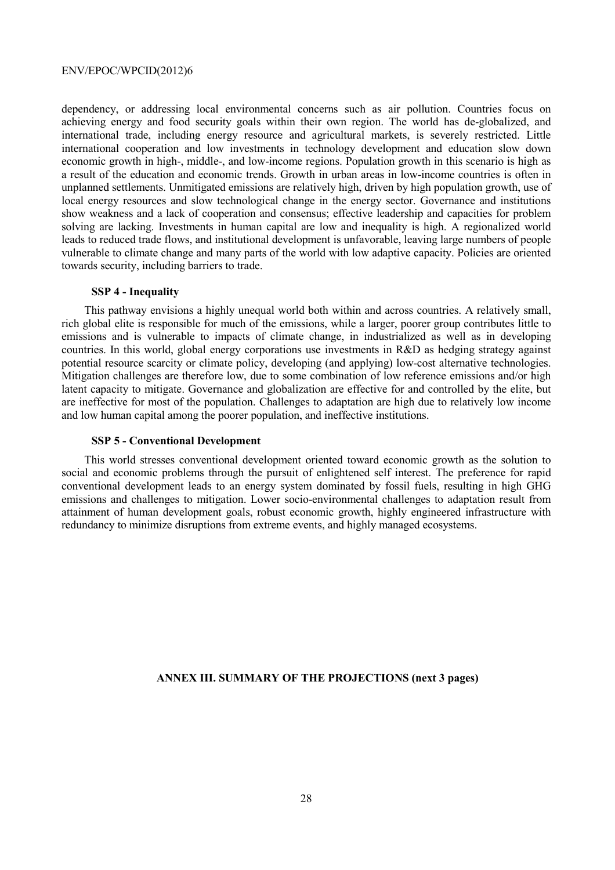dependency, or addressing local environmental concerns such as air pollution. Countries focus on achieving energy and food security goals within their own region. The world has de-globalized, and international trade, including energy resource and agricultural markets, is severely restricted. Little international cooperation and low investments in technology development and education slow down economic growth in high-, middle-, and low-income regions. Population growth in this scenario is high as a result of the education and economic trends. Growth in urban areas in low-income countries is often in unplanned settlements. Unmitigated emissions are relatively high, driven by high population growth, use of local energy resources and slow technological change in the energy sector. Governance and institutions show weakness and a lack of cooperation and consensus; effective leadership and capacities for problem solving are lacking. Investments in human capital are low and inequality is high. A regionalized world leads to reduced trade flows, and institutional development is unfavorable, leaving large numbers of people vulnerable to climate change and many parts of the world with low adaptive capacity. Policies are oriented towards security, including barriers to trade.

## **SSP 4 - Inequality**

This pathway envisions a highly unequal world both within and across countries. A relatively small, rich global elite is responsible for much of the emissions, while a larger, poorer group contributes little to emissions and is vulnerable to impacts of climate change, in industrialized as well as in developing countries. In this world, global energy corporations use investments in R&D as hedging strategy against potential resource scarcity or climate policy, developing (and applying) low-cost alternative technologies. Mitigation challenges are therefore low, due to some combination of low reference emissions and/or high latent capacity to mitigate. Governance and globalization are effective for and controlled by the elite, but are ineffective for most of the population. Challenges to adaptation are high due to relatively low income and low human capital among the poorer population, and ineffective institutions.

#### **SSP 5 - Conventional Development**

This world stresses conventional development oriented toward economic growth as the solution to social and economic problems through the pursuit of enlightened self interest. The preference for rapid conventional development leads to an energy system dominated by fossil fuels, resulting in high GHG emissions and challenges to mitigation. Lower socio-environmental challenges to adaptation result from attainment of human development goals, robust economic growth, highly engineered infrastructure with redundancy to minimize disruptions from extreme events, and highly managed ecosystems.

#### **ANNEX III. SUMMARY OF THE PROJECTIONS (next 3 pages)**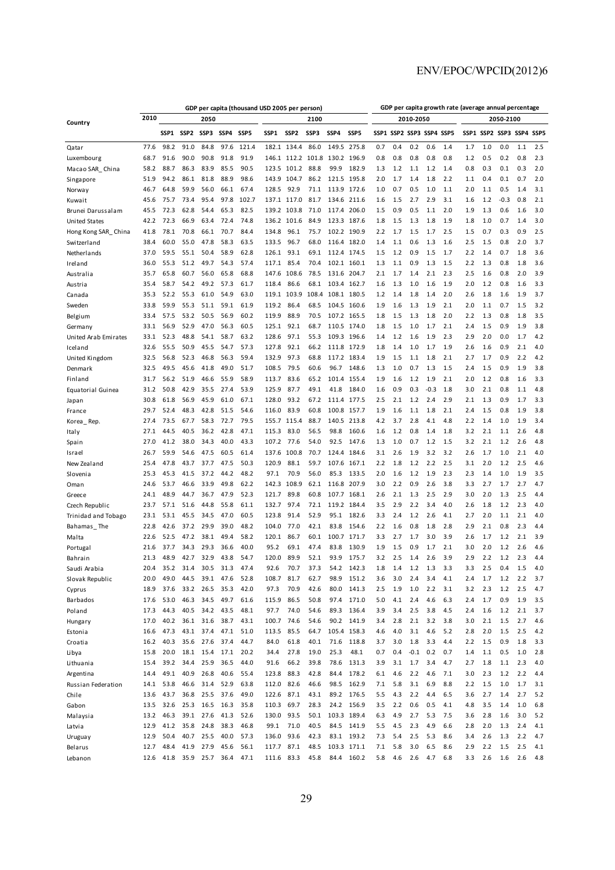|                       | GDP per capita (thousand USD 2005 per person) |              |                  |              |              |                  |                |                  |              | GDP per capita growth rate (average annual percentage |                  |            |                          |            |            |            |            |            |                          |            |            |  |
|-----------------------|-----------------------------------------------|--------------|------------------|--------------|--------------|------------------|----------------|------------------|--------------|-------------------------------------------------------|------------------|------------|--------------------------|------------|------------|------------|------------|------------|--------------------------|------------|------------|--|
| Country               | 2010                                          |              |                  | 2050         |              |                  | 2100           |                  |              |                                                       |                  |            | 2010-2050<br>2050-2100   |            |            |            |            |            |                          |            |            |  |
|                       |                                               | SSP1         | SSP <sub>2</sub> | SSP3         | SSP4         | SSP <sub>5</sub> | SSP1           | SSP <sub>2</sub> | SSP3         | SSP4                                                  | SSP <sub>5</sub> |            | SSP1 SSP2 SSP3 SSP4 SSP5 |            |            |            |            |            | SSP1 SSP2 SSP3 SSP4 SSP5 |            |            |  |
| Qatar                 | 77.6                                          | 98.2         | 91.0             | 84.8         | 97.6         | 121.4            | 182.1          | 134.4            | 86.0         | 149.5                                                 | 275.8            | 0.7        | 0.4                      | 0.2        | 0.6        | 1.4        | 1.7        | 1.0        | 0.0                      | 1.1        | 2.5        |  |
| Luxembourg            | 68.7                                          | 91.6         | 90.0             | 90.8         | 91.8         | 91.9             | 146.1          | 112.2            | 101.8        | 130.2                                                 | 196.9            | 0.8        | 0.8                      | 0.8        | 0.8        | 0.8        | 1.2        | 0.5        | 0.2                      | 0.8        | 2.3        |  |
| Macao SAR_China       | 58.2                                          | 88.7         | 86.3             | 83.9         | 85.5         | 90.5             | 123.5          | 101.2            | 88.8         | 99.9                                                  | 182.9            | 1.3        | 1.2                      | 1.1        | 1.2        | 1.4        | 0.8        | 0.3        | 0.1                      | 0.3        | 2.0        |  |
| Singapore             | 51.9                                          | 94.2         | 86.1             | 81.8         | 88.9         | 98.6             | 143.9          | 104.7            | 86.2         | 121.5                                                 | 195.8            | 2.0        | 1.7                      | 1.4        | 1.8        | 2.2        | 1.1        | 0.4        | 0.1                      | 0.7        | 2.0        |  |
| Norway                | 46.7                                          | 64.8         | 59.9             | 56.0         | 66.1         | 67.4             | 128.5          | 92.9             | 71.1         | 113.9                                                 | 172.6            | 1.0        | 0.7                      | 0.5        | 1.0        | 1.1        | 2.0        | 1.1        | 0.5                      | 1.4        | 3.1        |  |
| Kuwait                | 45.6                                          | 75.7         | 73.4             | 95.4         | 97.8         | 102.7            | 137.1          | 117.0            | 81.7         | 134.6                                                 | 211.6            | 1.6        | 1.5                      | 2.7        | 2.9        | 3.1        | 1.6        | 1.2        | $-0.3$                   | 0.8        | 2.1        |  |
| Brunei Darussalam     | 45.5                                          | 72.3         | 62.8             | 54.4         | 65.3         | 82.5             | 139.2          | 103.8            | 71.0         | 117.4                                                 | 206.0            | 1.5        | 0.9                      | 0.5        | 1.1        | 2.0        | 1.9        | 1.3        | 0.6                      | 1.6        | 3.0        |  |
| United States         | 42.2                                          | 72.3         | 66.9             | 63.4         | 72.4         | 74.8             | 136.2          | 101.6            | 84.9         | 123.3                                                 | 187.6            | 1.8        | 1.5                      | 1.3        | 1.8        | 1.9        | 1.8        | 1.0        | 0.7                      | 1.4        | 3.0        |  |
| Hong Kong SAR_China   | 41.8                                          | 78.1         | 70.8             | 66.1         | 70.7         | 84.4             | 134.8          | 96.1             | 75.7         | 102.2                                                 | 190.9            | 2.2        | 1.7                      | 1.5        | 1.7        | 2.5        | 1.5        | 0.7        | 0.3                      | 0.9        | 2.5        |  |
| Switzerland           | 38.4                                          | 60.0         | 55.0             | 47.8         | 58.3         | 63.5             | 133.5          | 96.7             | 68.0         | 116.4                                                 | 182.0            | 1.4        | 1.1                      | 0.6        | 1.3        | 1.6        | 2.5        | 1.5        | 0.8                      | 2.0        | 3.7        |  |
| Netherlands           | 37.0                                          | 59.5         | 55.1             | 50.4         | 58.9         | 62.8             | 126.1          | 93.1             | 69.1         | 112.4                                                 | 174.5            | 1.5        | 1.2                      | 0.9        | 1.5        | 1.7        | 2.2        | 1.4        | 0.7                      | 1.8        | 3.6        |  |
| Ireland               | 36.0                                          | 55.3         | 51.2             | 49.7         | 54.3         | 57.4             | 117.1          | 85.4             | 70.4         | 102.1                                                 | 160.1            | 1.3        | 1.1                      | 0.9        | 1.3        | 1.5        | 2.2        | 1.3        | 0.8                      | 1.8        | 3.6        |  |
| Australia             | 35.7                                          | 65.8         | 60.7             | 56.0         | 65.8         | 68.8             | 147.6          | 108.6            | 78.5         |                                                       | 131.6 204.7      | 2.1        | 1.7                      | 1.4        | 2.1        | 2.3        | 2.5        | 1.6        | 0.8                      | 2.0        | 3.9        |  |
| Austria               | 35.4                                          | 58.7         | 54.2             | 49.2         | 57.3         | 61.7             | 118.4          | 86.6             | 68.1         | 103.4                                                 | 162.7            | 1.6        | 1.3                      | 1.0        | 1.6        | 1.9        | 2.0        | 1.2        | 0.8                      | 1.6        | 3.3        |  |
| Canada                | 35.3                                          | 52.2         | 55.3             | 61.0         | 54.9         | 63.0             | 119.1          | 103.9            | 108.4        | 108.1                                                 | 180.5            | 1.2        | 1.4                      | 1.8        | 1.4        | 2.0        | 2.6        | 1.8        | 1.6                      | 1.9        | 3.7        |  |
| Sweden                | 33.8                                          | 59.9         | 55.3             | 51.1         | 59.1         | 61.9             | 119.2          | 86.4             | 68.5         | 104.5                                                 | 160.6            | 1.9        | 1.6                      | 1.3        | 1.9        | 2.1        | 2.0        | 1.1        | 0.7                      | 1.5        | 3.2        |  |
| Belgium               | 33.4                                          | 57.5         | 53.2             | 50.5         | 56.9         | 60.2             | 119.9          | 88.9             | 70.5         | 107.2                                                 | 165.5            | 1.8        | 1.5                      | 1.3        | 1.8        | 2.0        | 2.2        | 1.3        | 0.8                      | 1.8        | 3.5        |  |
| Germany               | 33.1                                          | 56.9         | 52.9             | 47.0         | 56.3         | 60.5             | 125.1          | 92.1             | 68.7         | 110.5                                                 | 174.0            | 1.8        | 1.5                      | 1.0        | 1.7        | 2.1        | 2.4        | 1.5        | 0.9                      | 1.9        | 3.8        |  |
| United Arab Emirates  | 33.1                                          | 52.3         | 48.8             | 54.1         | 58.7         | 63.2             | 128.6          | 97.1             | 55.3         | 109.3                                                 | 196.6            | 1.4        | 1.2                      | 1.6        | 1.9        | 2.3        | 2.9        | 2.0        | 0.0                      | 1.7        | 4.2        |  |
| Iceland               | 32.6                                          | 55.5         | 50.9             | 45.5         | 54.7         | 57.3             | 127.8          | 92.1             | 66.2         | 111.8                                                 | 172.9            | 1.8        | 1.4                      | 1.0        | 1.7        | 1.9        | 2.6        | 1.6        | 0.9                      | 2.1        | 4.0        |  |
| United Kingdom        | 32.5                                          | 56.8         | 52.3             | 46.8         | 56.3         | 59.4             | 132.9          | 97.3             | 68.8         | 117.2                                                 | 183.4            | 1.9        | 1.5                      | 1.1        | 1.8        | 2.1        | 2.7        | 1.7        | 0.9                      | 2.2        | 4.2        |  |
| Denmark               | 32.5                                          | 49.5         | 45.6             | 41.8         | 49.0         | 51.7             | 108.5          | 79.5             | 60.6         | 96.7                                                  | 148.6            | 1.3        | 1.0                      | 0.7        | 1.3        | 1.5        | 2.4        | 1.5        | 0.9                      | 1.9        | 3.8        |  |
| Finland               | 31.7                                          | 56.2         | 51.9             | 46.6         | 55.9         | 58.9             | 113.7          | 83.6             | 65.2         | 101.4                                                 | 155.4            | 1.9        | 1.6                      | 1.2        | 1.9        | 2.1        | 2.0        | 1.2        | 0.8                      | 1.6        | 3.3        |  |
| Equatorial Guinea     | 31.2                                          | 50.8         | 42.9             | 35.5         | 27.4         | 53.9             | 125.9          | 87.7             | 49.1         | 41.8                                                  | 184.0            | 1.6        | 0.9                      | 0.3        | $-0.3$     | 1.8        | 3.0        | 2.1        | 0.8                      | 1.1        | 4.8        |  |
| Japan                 | 30.8                                          | 61.8         | 56.9             | 45.9         | 61.0         | 67.1             | 128.0          | 93.2             | 67.2         | 111.4                                                 | 177.5            | 2.5        | 2.1                      | 1.2        | 2.4        | 2.9        | 2.1        | 1.3        | 0.9                      | 1.7        | 3.3        |  |
| France                | 29.7                                          | 52.4         | 48.3             | 42.8         | 51.5         | 54.6             | 116.0          | 83.9             | 60.8         | 100.8                                                 | 157.7            | 1.9        | 1.6                      | 1.1        | 1.8        | 2.1        | 2.4        | 1.5        | 0.8                      | 1.9        | 3.8        |  |
| Korea Rep.            | 27.4                                          | 73.5         | 67.7             | 58.3         | 72.7         | 79.5             | 155.7          | 115.4            | 88.7         | 140.5                                                 | 213.8            | 4.2        | 3.7                      | 2.8        | 4.1        | 4.8        | 2.2        | 1.4        | 1.0                      | 1.9        | 3.4        |  |
| Italy                 | 27.1                                          | 44.5         | 40.5             | 36.2         | 42.8<br>40.0 | 47.1             | 115.3          | 83.0             | 56.5         | 98.8                                                  | 160.6            | 1.6        | 1.2                      | 0.8        | 1.4        | 1.8        | 3.2        | 2.1        | 1.1                      | 2.6        | 4.8        |  |
| Spain                 | 27.0                                          | 41.2         | 38.0             | 34.3         |              | 43.3             | 107.2          | 77.6             | 54.0         | 92.5                                                  | 147.6            | 1.3        | 1.0                      | 0.7        | 1.2        | 1.5        | 3.2        | 2.1        | 1.2                      | 2.6        | 4.8<br>4.0 |  |
| Israel<br>New Zealand | 26.7<br>25.4                                  | 59.9<br>47.8 | 54.6<br>43.7     | 47.5<br>37.7 | 60.5<br>47.5 | 61.4<br>50.3     | 137.6<br>120.9 | 100.8<br>88.1    | 70.7<br>59.7 | 124.4<br>107.6                                        | 184.6<br>167.1   | 3.1<br>2.2 | 2.6<br>1.8               | 1.9<br>1.2 | 3.2<br>2.2 | 3.2<br>2.5 | 2.6<br>3.1 | 1.7<br>2.0 | 1.0<br>1.2               | 2.1<br>2.5 | 4.6        |  |
| Slovenia              | 25.3                                          | 45.3         | 41.5             | 37.2         | 44.2         | 48.2             | 97.1           | 70.9             | 56.0         | 85.3                                                  | 133.5            | 2.0        | 1.6                      | 1.2        | 1.9        | 2.3        | 2.3        | 1.4        | 1.0                      | 1.9        | 3.5        |  |
| Oman                  | 24.6                                          | 53.7         | 46.6             | 33.9         | 49.8         | 62.2             | 142.3          | 108.9            | 62.1         | 116.8                                                 | 207.9            | 3.0        | 2.2                      | 0.9        | 2.6        | 3.8        | 3.3        | 2.7        | 1.7                      | 2.7        | 4.7        |  |
| Greece                | 24.1                                          | 48.9         | 44.7             | 36.7         | 47.9         | 52.3             | 121.7          | 89.8             | 60.8         | 107.7                                                 | 168.1            | 2.6        | 2.1                      | 1.3        | 2.5        | 2.9        | 3.0        | 2.0        | 1.3                      | 2.5        | 4.4        |  |
| Czech Republic        | 23.7                                          | 57.1         | 51.6             | 44.8         | 55.8         | 61.1             | 132.7          | 97.4             | 72.1         | 119.2                                                 | 184.4            | 3.5        | 2.9                      | 2.2        | 3.4        | 4.0        | 2.6        | 1.8        | 1.2                      | 2.3        | 4.0        |  |
| Trinidad and Tobago   | 23.1                                          | 53.1         | 45.5             | 34.5         | 47.0         | 60.5             | 123.8          | 91.4             | 52.9         | 95.1                                                  | 182.6            | 3.3        | 2.4                      | 1.2        | 2.6        | 4.1        | 2.7        | 2.0        | 1.1                      | 2.1        | 4.0        |  |
| Bahamas The           | 22.8                                          | 42.6         | 37.2             | 29.9         | 39.0         | 48.2             | 104.0          | 77.0             | 42.1         | 83.8                                                  | 154.6            | 2.2        | 1.6                      | 0.8        | 1.8        | 2.8        | 2.9        | 2.1        | 0.8                      | 2.3        | 4.4        |  |
| Malta                 | 22.6                                          | 52.5         | 47.2             | 38.1         | 49.4         | 58.2             | 120.1          | 86.7             | 60.1         | 100.7                                                 | 171.7            | 3.3        | 2.7                      | 1.7        | 3.0        | 3.9        | 2.6        | 1.7        | 1.2                      | 2.1        | 3.9        |  |
| Portuga               | 21.6                                          | 37.7         | 34.3             | 29.3         | 36.6         | 40.0             | 95.2           | 69.1             | 47.4         | 83.8                                                  | 130.9            | 1.9        | 1.5                      | 0.9        | 1.7        | 2.1        | 3.0        | 2.0        | 1.2                      | 2.6        | 4.6        |  |
| Bahrain               | 21.3                                          | 48.9         | 42.7             | 32.9         | 43.8         | 54.7             | 120.0          | 89.9             | 52.1         | 93.9                                                  | 175.7            | 3.2        | 2.5                      | 1.4        | 2.6        | 3.9        | 2.9        | 2.2        | 1.2                      | 2.3        | 4.4        |  |
| Saudi Arabia          | 20.4                                          | 35.2         | 31.4             | 30.5         | 31<br>3      | 47.4             | 92.6           | 70.7             | 37.3         | 54.2                                                  | 142.3            | 1.8        |                          |            | 1.3        | 3.3        | 3.3        | 2.5        | 0.4                      | 1.5        | 4.0        |  |
| Slovak Republic       | 20.0                                          | 49.0         | 44.5             | 39.1         | 47.6         | 52.8             | 108.7          | 81.7             | 62.7         | 98.9                                                  | 151.2            | 3.6        | 3.0                      | 2.4        | 3.4        | 4.1        | 2.4        | 1.7        | 1.2                      | 2.2        | 3.7        |  |
| Cyprus                | 18.9                                          | 37.6         | 33.2             | 26.5         | 35.3         | 42.0             | 97.3           | 70.9             | 42.6         | 80.0                                                  | 141.3            | 2.5        | 1.9                      | 1.0        | 2.2        | 3.1        | 3.2        | 2.3        | 1.2                      | 2.5        | 4.7        |  |
| Barbados              | 17.6                                          | 53.0         | 46.3             | 34.5         | 49.7         | 61.6             | 115.9          | 86.5             | 50.8         | 97.4                                                  | 171.0            | 5.0        | 4.1                      | 2.4        | 4.6        | 6.3        | 2.4        | 1.7        | 0.9                      | 1.9        | 3.5        |  |
| Poland                | 17.3                                          | 44.3         | 40.5             | 34.2         | 43.5         | 48.1             | 97.7           | 74.0             | 54.6         | 89.3                                                  | 136.4            | 3.9        | 3.4                      | 2.5        | 3.8        | 4.5        | 2.4        | 1.6        | 1.2                      | 2.1        | 3.7        |  |
| Hungary               | 17.0                                          | 40.2         | 36.1             | 31.6         | 38.7         | 43.1             | 100.7          | 74.6             | 54.6         | 90.2                                                  | 141.9            | 3.4        | 2.8                      | 2.1        | 3.2        | 3.8        | 3.0        | 2.1        | 1.5                      | 2.7        | 4.6        |  |
| Estonia               | 16.6                                          | 47.3         | 43.1             | 37.4         | 47.1         | 51.0             | 113.5          | 85.5             | 64.7         |                                                       | 105.4 158.3      | 4.6        | 4.0                      | 3.1        | 4.6        | 5.2        | 2.8        | 2.0        | 1.5                      | 2.5        | 4.2        |  |
| Croatia               | 16.2                                          | 40.3         | 35.6             | 27.6         | 37.4         | 44.7             | 84.0           | 61.8             | 40.1         | 71.6                                                  | 118.8            | 3.7        | 3.0                      | 1.8        | 3.3        | 4.4        | 2.2        | 1.5        | 0.9                      | 1.8        | 3.3        |  |
| Li bya                | 15.8                                          | 20.0         | 18.1             | 15.4         | 17.1         | 20.2             | 34.4           | 27.8             | 19.0         | 25.3                                                  | 48.1             | 0.7        | 0.4                      | $-0.1$     | 0.2        | 0.7        | 1.4        | 1.1        | 0.5                      | 1.0        | 2.8        |  |
| Lithuania             | 15.4                                          | 39.2         | 34.4             | 25.9         | 36.5         | 44.0             | 91.6           | 66.2             | 39.8         | 78.6                                                  | 131.3            | 3.9        | 3.1                      | 1.7        | 3.4        | 4.7        | 2.7        | 1.8        | 1.1                      | 2.3        | 4.0        |  |
| Argentina             | 14.4                                          | 49.1         | 40.9             | 26.8         | 40.6         | 55.4             | 123.8          | 88.3             | 42.8         | 84.4                                                  | 178.2            | 6.1        | 4.6                      | 2.2        | 4.6        | 7.1        | 3.0        | 2.3        | 1.2                      | 2.2        | 4.4        |  |
| Russian Federation    | 14.1                                          | 53.8         | 46.6             | 31.4         | 52.9         | 63.8             | 112.0          | 82.6             | 46.6         | 98.5                                                  | 162.9            | $7.1\,$    | 5.8                      | 3.1        | 6.9        | 8.8        | 2.2        | 1.5        | $1.0$                    | 1.7        | 3.1        |  |
| Chile                 | 13.6                                          | 43.7         | 36.8             | 25.5         | 37.6         | 49.0             | 122.6          | 87.1             | 43.1         | 89.2                                                  | 176.5            | 5.5        | 4.3                      | 2.2        | 4.4        | 6.5        | 3.6        | 2.7        | 1.4                      | 2.7        | 5.2        |  |
| Gabon                 | 13.5                                          | 32.6         | 25.3             | 16.5         | 16.3         | 35.8             | 110.3          | 69.7             | 28.3         | 24.2                                                  | 156.9            | 3.5        | 2.2                      | 0.6        | 0.5        | 4.1        | 4.8        | 3.5        | 1.4                      | 1.0        | 6.8        |  |
| Malaysia              | 13.2                                          | 46.3         | 39.1             | 27.6         | 41.3         | 52.6             | 130.0          | 93.5             | 50.1         |                                                       | 103.3 189.4      | 6.3        | 4.9                      | 2.7        | 5.3        | 7.5        | 3.6        | 2.8        | 1.6                      | 3.0        | 5.2        |  |
| Latvia                | 12.9                                          | 41.2         | 35.8             | 24.8         | 38.3         | 46.8             | 99.1           | 71.0             | 40.5         | 84.5                                                  | 141.9            | 5.5        | 4.5                      | 2.3        | 4.9        | 6.6        | 2.8        | 2.0        | 1.3                      | 2.4        | 4.1        |  |
| Uruguay               | 12.9                                          | 50.4         | 40.7             | 25.5         | 40.0         | 57.3             | 136.0          | 93.6             | 42.3         | 83.1                                                  | 193.2            | 7.3        | 5.4                      | 2.5        | 5.3        | 8.6        | 3.4        | 2.6        | 1.3                      | 2.2        | 4.7        |  |
| Belarus               | 12.7                                          | 48.4         | 41.9             | 27.9         | 45.6         | 56.1             | 117.7          | 87.1             | 48.5         |                                                       | 103.3 171.1      | 7.1        | 5.8                      | 3.0        | 6.5        | 8.6        | 2.9        | 2.2        | 1.5                      | 2.5        | 4.1        |  |
| Lebanon               | 12.6                                          | 41.8         | 35.9             | 25.7         | 36.4         | 47.1             | 111.6          | 83.3             | 45.8         | 84.4                                                  | 160.2            | 5.8        | 4.6                      | 2.6        | 4.7        | 6.8        | 3.3        | 2.6        | 1.6                      | 2.6        | 4.8        |  |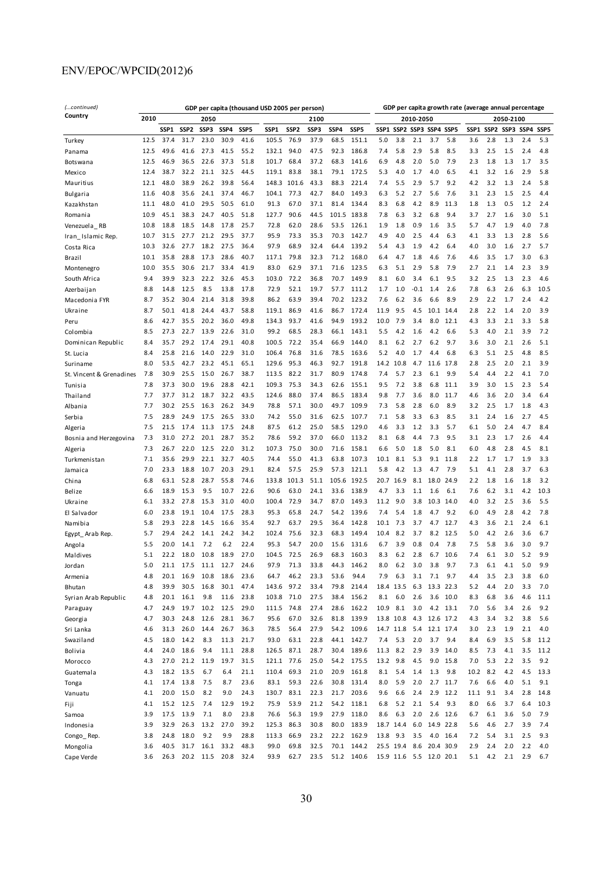| (continued)              |      | GDP per capita (thousand USD 2005 per person)    |           |      |      |                  |            |       |      | GDP per capita growth rate (average annual percentage |       |      |                     |           |                                   |           |           |     |     |     |      |  |
|--------------------------|------|--------------------------------------------------|-----------|------|------|------------------|------------|-------|------|-------------------------------------------------------|-------|------|---------------------|-----------|-----------------------------------|-----------|-----------|-----|-----|-----|------|--|
| Country                  | 2010 | 2050                                             |           |      |      |                  |            | 2100  |      |                                                       |       |      |                     | 2010-2050 |                                   |           | 2050-2100 |     |     |     |      |  |
|                          |      | SSP1<br>SSP <sub>2</sub><br>SSP3<br>SSP4<br>SSP5 |           |      | SSP1 | SSP <sub>2</sub> | SSP3       | SSP4  | SSP5 | SSP1                                                  |       |      | SSP2 SSP3 SSP4 SSP5 |           | SSP5<br>SSP1<br>SSP2<br>SSP3 SSP4 |           |           |     |     |     |      |  |
| Turkey                   | 12.5 | 37.4                                             | 31.7      | 23.0 | 30.9 | 41.6             | 105.5      | 76.9  | 37.9 | 68.5                                                  | 151.1 | 5.0  | 3.8                 | 2.1       | 3.7                               | 5.8       | 3.6       | 2.8 | 1.3 | 2.4 | 5.3  |  |
| Panama                   | 12.5 | 49.6                                             | 41.6      | 27.3 | 41.5 | 55.2             | 132.1      | 94.0  | 47.5 | 92.3                                                  | 186.8 | 7.4  | 5.8                 | 2.9       | 5.8                               | 8.5       | 3.3       | 2.5 | 1.5 | 2.4 | 4.8  |  |
| <b>Botswana</b>          | 12.5 | 46.9                                             | 36.5      | 22.6 | 37.3 | 51.8             | 101.7      | 68.4  | 37.2 | 68.3                                                  | 141.6 | 6.9  | 4.8                 | 2.0       | 5.0                               | 7.9       | 2.3       | 1.8 | 1.3 | 1.7 | 3.5  |  |
| Mexico                   | 12.4 | 38.7                                             | 32.2      | 21.1 | 32.5 | 44.5             | 119.1      | 83.8  | 38.1 | 79.1                                                  | 172.5 | 5.3  | 4.0                 | 1.7       | 4.0                               | 6.5       | 4.1       | 3.2 | 1.6 | 2.9 | 5.8  |  |
| Mauritius                | 12.1 | 48.0                                             | 38.9      | 26.2 | 39.8 | 56.4             | 148.3      | 101.6 | 43.3 | 88.3                                                  | 221.4 | 7.4  | 5.5                 | 2.9       | 5.7                               | 9.2       | 4.2       | 3.2 | 1.3 | 2.4 | 5.8  |  |
| Bulgaria                 | 11.6 | 40.8                                             | 35.6      | 24.1 | 37.4 | 46.7             | 104.1      | 77.3  | 42.7 | 84.0                                                  | 149.3 | 6.3  | 5.2                 | 2.7       | 5.6                               | 7.6       | 3.1       | 2.3 | 1.5 | 2.5 | 4.4  |  |
| Kazakhstan               | 11.1 | 48.0                                             | 41.0      | 29.5 | 50.5 | 61.0             | 91.3       | 67.0  | 37.1 | 81.4                                                  | 134.4 | 8.3  | 6.8                 | 4.2       | 8.9                               | 11.3      | 1.8       | 1.3 | 0.5 | 1.2 | 2.4  |  |
| Romania                  | 10.9 | 45.1                                             | 38.3      | 24.7 | 40.5 | 51.8             | 127.7      | 90.6  | 44.5 | 101.5                                                 | 183.8 | 7.8  | 6.3                 | 3.2       | 6.8                               | 9.4       | 3.7       | 2.7 | 1.6 | 3.0 | 5.1  |  |
| Venezuela RB             | 10.8 | 18.8                                             | 18.5      | 14.8 | 17.8 | 25.7             | 72.8       | 62.0  | 28.6 | 53.5                                                  | 126.1 | 1.9  | 1.8                 | 0.9       | 1.6                               | 3.5       | 5.7       | 4.7 | 1.9 | 4.0 | 7.8  |  |
| Iran Islamic Rep.        | 10.7 | 31.5                                             | 27.7      | 21.2 | 29.5 | 37.7             | 95.9       | 73.3  | 35.3 | 70.3                                                  | 142.7 | 4.9  | 4.0                 | 2.5       | 4.4                               | 6.3       | 4.1       | 3.3 | 1.3 | 2.8 | 5.6  |  |
| Costa Rica               | 10.3 | 32.6                                             | 27.7      | 18.2 | 27.5 | 36.4             | 97.9       | 68.9  | 32.4 | 64.4                                                  | 139.2 | 5.4  | 4.3                 | 1.9       | 4.2                               | 6.4       | 4.0       | 3.0 | 1.6 | 2.7 | 5.7  |  |
| Brazil                   | 10.1 | 35.8                                             | 28.8      | 17.3 | 28.6 | 40.7             | 117.1      | 79.8  | 32.3 | 71.2                                                  | 168.0 | 6.4  | 4.7                 | 1.8       | 4.6                               | 7.6       | 4.6       | 3.5 | 1.7 | 3.0 | 6.3  |  |
| Montenegro               | 10.0 | 35.5                                             | 30.6      | 21.7 | 33.4 | 41.9             | 83.0       | 62.9  | 37.1 | 71.6                                                  | 123.5 | 6.3  | 5.1                 | 2.9       | 5.8                               | 7.9       | 2.7       | 2.1 | 1.4 | 2.3 | 3.9  |  |
| South Africa             | 9.4  | 39.9                                             | 32.3      | 22.2 | 32.6 | 45.3             | 103.0      | 72.2  | 36.8 | 70.7                                                  | 149.9 | 8.1  | 6.0                 | 3.4       | 6.1                               | 9.5       | 3.2       | 2.5 | 1.3 | 2.3 | 4.6  |  |
| Azerbaijan               | 8.8  | 14.8                                             | 12.5      | 8.5  | 13.8 | 17.8             | 72.9       | 52.1  | 19.7 | 57.7                                                  | 111.2 | 1.7  | 1.0                 | $-0.1$    | 1.4                               | 2.6       | 7.8       | 6.3 | 2.6 | 6.3 | 10.5 |  |
| Macedonia FYR            | 8.7  | 35.2                                             | 30.4      | 21.4 | 31.8 | 39.8             | 86.2       | 63.9  | 39.4 | 70.2                                                  | 123.2 | 7.6  | 6.2                 | 3.6       | 6.6                               | 8.9       | 2.9       | 2.2 | 1.7 | 2.4 | 4.2  |  |
| Ukraine                  | 8.7  | 50.1                                             | 41.8      | 24.4 | 43.7 | 58.8             | 119.1      | 86.9  | 41.6 | 86.7                                                  | 172.4 | 11.9 | 9.5                 | 4.5       | 10.1                              | 14.4      | 2.8       | 2.2 | 1.4 | 2.0 | 3.9  |  |
| Peru                     | 8.6  | 42.7                                             | 35.5      | 20.2 | 36.0 | 49.8             | 134.3      | 93.7  | 41.6 | 94.9                                                  | 193.2 | 10.0 | 7.9                 | 3.4       | 8.0                               | 12.1      | 4.3       | 3.3 | 2.1 | 3.3 | 5.8  |  |
| Colombia                 | 8.5  | 27.3                                             | 22.7      | 13.9 | 22.6 | 31.0             | 99.2       | 68.5  | 28.3 | 66.1                                                  | 143.1 | 5.5  | 4.2                 | 1.6       | 4.2                               | 6.6       | 5.3       | 4.0 | 2.1 | 3.9 | 7.2  |  |
| Dominican Republic       | 8.4  | 35.7                                             | 29.2      | 17.4 | 29.1 | 40.8             | 100.5      | 72.2  | 35.4 | 66.9                                                  | 144.0 | 8.1  | 6.2                 | 2.7       | 6.2                               | 9.7       | 3.6       | 3.0 | 2.1 | 2.6 | 5.1  |  |
| St. Lucia                | 8.4  | 25.8                                             | 21.6      | 14.0 | 22.9 | 31.0             | 106.4      | 76.8  | 31.6 | 78.5                                                  | 163.6 | 5.2  | 4.0                 | 1.7       | 4.4                               | 6.8       | 6.3       | 5.1 | 2.5 | 4.8 | 8.5  |  |
| Suriname                 | 8.0  | 53.5                                             | 42.7      | 23.2 | 45.1 | 65.1             | 129.6      | 95.3  | 46.3 | 92.7                                                  | 191.8 | 14.2 | 10.8                | 4.7       | 11.6                              | 17.8      | 2.8       | 2.5 | 2.0 | 2.1 | 3.9  |  |
| St. Vincent & Grenadines | 7.8  | 30.9                                             | 25.5      | 15.0 | 26.7 | 38.7             | 113.5      | 82.2  | 31.7 | 80.9                                                  | 174.8 | 7.4  | 5.7                 | 2.3       | 6.1                               | 9.9       | 5.4       | 4.4 | 2.2 | 4.1 | 7.0  |  |
| Tunisia                  | 7.8  | 37.3                                             | 30.0      | 19.6 | 28.8 | 42.1             | 109.3      | 75.3  | 34.3 | 62.6                                                  | 155.1 | 9.5  | 7.2                 | 3.8       | 6.8                               | 11.1      | 3.9       | 3.0 | 1.5 | 2.3 | 5.4  |  |
| Thailand                 | 7.7  | 37.7                                             | 31.2      | 18.7 | 32.2 | 43.5             | 124.6      | 88.0  | 37.4 | 86.5                                                  | 183.4 | 9.8  | 7.7                 | 3.6       | 8.0                               | 11.7      | 4.6       | 3.6 | 2.0 | 3.4 | 6.4  |  |
| Albania                  | 7.7  | 30.2                                             | 25.5      | 16.3 | 26.2 | 34.9             | 78.8       | 57.1  | 30.0 | 49.7                                                  | 109.9 | 7.3  | 5.8                 | 2.8       | 6.0                               | 8.9       | 3.2       | 2.5 | 1.7 | 1.8 | 4.3  |  |
| Serbia                   | 7.5  | 28.9                                             | 24.9      | 17.5 | 26.5 | 33.0             | 74.2       | 55.0  | 31.6 | 62.5                                                  | 107.7 | 7.1  | 5.8                 | 3.3       | 6.3                               | 8.5       | 3.1       | 2.4 | 1.6 | 2.7 | 4.5  |  |
| Algeria                  | 7.5  | 21.5                                             | 17.4      | 11.3 | 17.5 | 24.8             | 87.5       | 61.2  | 25.0 | 58.5                                                  | 129.0 | 4.6  | 3.3                 | 1.2       | 3.3                               | 5.7       | 6.1       | 5.0 | 2.4 | 4.7 | 8.4  |  |
| Bosnia and Herzegovina   | 7.3  | 31.0                                             | 27.2      | 20.1 | 28.7 | 35.2             | 78.6       | 59.2  | 37.0 | 66.0                                                  | 113.2 | 8.1  | 6.8                 | 4.4       | 7.3                               | 9.5       | 3.1       | 2.3 | 1.7 | 2.6 | 4.4  |  |
| Algeria                  | 7.3  | 26.7                                             | 22.0      | 12.5 | 22.0 | 31.2             | 107.3      | 75.0  | 30.0 | 71.6                                                  | 158.1 | 6.6  | 5.0                 | 1.8       | 5.0                               | 8.1       | 6.0       | 4.8 | 2.8 | 4.5 | 8.1  |  |
| Turkmenistan             | 7.1  | 35.6                                             | 29.9      | 22.1 | 32.7 | 40.5             | 74.4       | 55.0  | 41.3 | 63.8                                                  | 107.3 | 10.1 | 8.1                 | 5.3       | 9.1                               | 11.8      | 2.2       | 1.7 | 1.7 | 1.9 | 3.3  |  |
| Jamaica                  | 7.0  | 23.3                                             | 18.8      | 10.7 | 20.3 | 29.1             | 82.4       | 57.5  | 25.9 | 57.3                                                  | 121.1 | 5.8  | 4.2                 | 1.3       | 4.7                               | 7.9       | 5.1       | 4.1 | 2.8 | 3.7 | 6.3  |  |
| China                    | 6.8  | 63.1                                             | 52.8      | 28.7 | 55.8 | 74.6             | 133.8      | 101.3 | 51.1 | 105.6                                                 | 192.5 | 20.7 | 16.9                | 8.1       | 18.0                              | 24.9      | 2.2       | 1.8 | 1.6 | 1.8 | 3.2  |  |
| Belize                   | 6.6  | 18.9                                             | 15.3      | 9.5  | 10.7 | 22.6             | 90.6       | 63.0  | 24.1 | 33.6                                                  | 138.9 | 4.7  | 3.3                 | 1.1       | 1.6                               | 6.1       | 7.6       | 6.2 | 3.1 | 4.2 | 10.3 |  |
| Ukraine                  | 6.1  | 33.2                                             | 27.8      | 15.3 | 31.0 | 40.0             | 100.4      | 72.9  | 34.7 | 87.0                                                  | 149.3 | 11.2 | 9.0                 | 3.8       | 10.3                              | 14.0      | 4.0       | 3.2 | 2.5 | 3.6 | 5.5  |  |
| El Salvador              | 6.0  | 23.8                                             | 19.1      | 10.4 | 17.5 | 28.3             | 95.3       | 65.8  | 24.7 | 54.2                                                  | 139.6 | 7.4  | 5.4                 | 1.8       | 4.7                               | 9.2       | 6.0       | 4.9 | 2.8 | 4.2 | 7.8  |  |
| Namibia                  | 5.8  | 29.3                                             | 22.8      | 14.5 | 16.6 | 35.4             | 92.7       | 63.7  | 29.5 | 36.4                                                  | 142.8 | 10.1 | 7.3                 | 3.7       | 4.7                               | 12.7      | 4.3       | 3.6 | 2.1 | 2.4 | 6.1  |  |
| Egypt_Arab Rep.          | 5.7  | 29.4                                             | 24.2      | 14.1 | 24.2 | 34.2             | 102.4      | 75.6  | 32.3 | 68.3                                                  | 149.4 | 10.4 | 8<br>.2             | 3.7       | 8.2                               | 12.5      | 5.0       | 4.2 | 2.6 | 3.6 | 6.7  |  |
| Angola                   | 5.5  | 20.0                                             | 14.1      | 7.2  | 6.2  | 22.4             | 95.3       | 54.7  | 20.0 | 15.6                                                  | 131.6 | 6.7  | 3.9                 | 0.8       | 0.4                               | 7.8       | 7.5       | 5.8 | 3.6 | 3.0 | 9.7  |  |
| Maldives                 | 5.1  | 22.2                                             | 18.0      | 10.8 | 18.9 | 27.0             | 104.5      | 72.5  | 26.9 | 68.3                                                  | 160.3 | 8.3  | $6.2$               | 2.8       | 6.7                               | 10.6      | 7.4       | 6.1 | 3.0 | 5.2 | 9.9  |  |
| Jordan                   | 5.0  | 21<br>$\cdot {\bf 1}$                            | 17.5      | 11.1 | 12.7 | 24.6             | 97.9       | 71.3  | 33.8 | 44.3                                                  | 146.2 | 8.0  | 6                   | 3.0       | 3.8                               | 9.7       | 7.3       | 6.1 | 4   | 5.0 | 9.9  |  |
| Armenia                  | 4.8  | 20.1                                             | 16.9      | 10.8 | 18.6 | 23.6             | 64.7       | 46.2  | 23.3 | 53.6                                                  | 94.4  | 7.9  | 6.3                 | 3.1       | 7.1                               | 9.7       | 4.4       | 3.5 | 2.3 | 3.8 | 6.0  |  |
| Bhutan                   | 4.8  | 39.9                                             | 30.5      | 16.8 | 30.1 | 47.4             | 143.6      | 97.2  | 33.4 | 79.8                                                  | 214.4 | 18.4 | 13.5                | 6.3       | 13.3 22.3                         |           | 5.2       | 4.4 | 2.0 | 3.3 | 7.0  |  |
| Syrian Arab Republic     | 4.8  |                                                  | 20.1 16.1 | 9.8  | 11.6 | 23.8             | 103.8      | 71.0  | 27.5 | 38.4                                                  | 156.2 | 8.1  | 6.0                 | 2.6       | 3.6                               | 10.0      | 8.3       | 6.8 | 3.6 | 4.6 | 11.1 |  |
| Paraguay                 | 4.7  | 24.9                                             | 19.7      | 10.2 | 12.5 | 29.0             | 111.5      | 74.8  | 27.4 | 28.6                                                  | 162.2 | 10.9 | 8.1                 | 3.0       | 4.2                               | 13.1      | 7.0       | 5.6 | 3.4 | 2.6 | 9.2  |  |
| Georgia                  | 4.7  | 30.3                                             | 24.8      | 12.6 | 28.1 | 36.7             | 95.6       | 67.0  | 32.6 | 81.8                                                  | 139.9 |      | 13.8 10.8           |           | 4.3 12.6 17.2                     |           | 4.3       | 3.4 | 3.2 | 3.8 | 5.6  |  |
| Sri Lanka                | 4.6  | 31.3                                             | 26.0      | 14.4 | 26.7 | 36.3             | 78.5       | 56.4  | 27.9 | 54.2                                                  | 109.6 |      | 14.7 11.8           | 5.4       |                                   | 12.1 17.4 | 3.0       | 2.3 | 1.9 | 2.1 | 4.0  |  |
| Swaziland                | 4.5  | 18.0                                             | 14.2      | 8.3  | 11.3 | 21.7             | 93.0       | 63.1  | 22.8 | 44.1                                                  | 142.7 | 7.4  | 5.3                 | 2.0       | 3.7                               | 9.4       | 8.4       | 6.9 | 3.5 | 5.8 | 11.2 |  |
| Bolivia                  | 4.4  | 24.0                                             | 18.6      | 9.4  | 11.1 | 28.8             | 126.5      | 87.1  | 28.7 | 30.4                                                  | 189.6 | 11.3 | 8.2                 | 2.9       | 3.9                               | 14.0      | 8.5       | 7.3 | 4.1 | 3.5 | 11.2 |  |
| Morocco                  | 4.3  | 27.0                                             | 21.2      | 11.9 | 19.7 | 31.5             | 121.1 77.6 |       | 25.0 | 54.2                                                  | 175.5 | 13.2 | 9.8                 | 4.5       | 9.0                               | 15.8      | 7.0       | 5.3 | 2.2 | 3.5 | 9.2  |  |
| Guatemala                | 4.3  | 18.2                                             | 13.5      | 6.7  | 6.4  | 21.1             | 110.4      | 69.3  | 21.0 | 20.9                                                  | 161.8 | 8.1  | 5.4                 | 1.4       | 1.3                               | 9.8       | 10.2      | 8.2 | 4.2 | 4.5 | 13.3 |  |
| Tonga                    | 4.1  | 17.4                                             | 13.8      | 7.5  | 8.7  | 23.6             | 83.1       | 59.3  | 22.6 | 30.8                                                  | 131.4 | 8.0  | 5.9                 | 2.0       | 2.7                               | 11.7      | 7.6       | 6.6 | 4.0 | 5.1 | 9.1  |  |
| Vanuatu                  | 4.1  | 20.0                                             | 15.0      | 8.2  | 9.0  | 24.3             | 130.7      | 83.1  | 22.3 | 21.7                                                  | 203.6 | 9.6  | 6.6                 | 2.4       | 2.9                               | 12.2      | 11.1      | 9.1 | 3.4 | 2.8 | 14.8 |  |
| Fiji                     | 4.1  | 15.2                                             | 12.5      | 7.4  | 12.9 | 19.2             | 75.9       | 53.9  | 21.2 | 54.2                                                  | 118.1 | 6.8  | 5.2                 | 2.1       | 5.4                               | 9.3       | 8.0       | 6.6 | 3.7 | 6.4 | 10.3 |  |
| Samoa                    | 3.9  | 17.5                                             | 13.9      | 7.1  | 8.0  | 23.8             | 76.6       | 56.3  | 19.9 | 27.9                                                  | 118.0 | 8.6  | 6.3                 | 2.0       | 2.6                               | 12.6      | 6.7       | 6.1 | 3.6 | 5.0 | 7.9  |  |
| Indonesia                | 3.9  | 32.9                                             | 26.3      | 13.2 | 27.0 | 39.2             | 125.3      | 86.3  | 30.8 | 80.0                                                  | 183.9 |      | 18.7 14.4           | 6.0       | 14.9                              | 22.8      | 5.6       | 4.6 | 2.7 | 3.9 | 7.4  |  |
| Congo_Rep.               | 3.8  | 24.8                                             | 18.0      | 9.2  | 9.9  | 28.8             | 113.3      | 66.9  | 23.2 | 22.2                                                  | 162.9 | 13.8 | 9.3                 | 3.5       | 4.0                               | 16.4      | 7.2       | 5.4 | 3.1 | 2.5 | 9.3  |  |
| Mongolia                 | 3.6  | 40.5                                             | 31.7      | 16.1 | 33.2 | 48.3             | 99.0       | 69.8  | 32.5 | 70.1                                                  | 144.2 |      | 25.5 19.4           | 8.6       | 20.4 30.9                         |           | 2.9       | 2.4 | 2.0 | 2.2 | 4.0  |  |
| Cape Verde               | 3.6  | 26.3                                             | 20.2      | 11.5 | 20.8 | 32.4             | 93.9       | 62.7  | 23.5 | 51.2                                                  | 140.6 |      | 15.9 11.6           |           | 5.5 12.0 20.1                     |           | 5.1       | 4.2 | 2.1 | 2.9 | 6.7  |  |